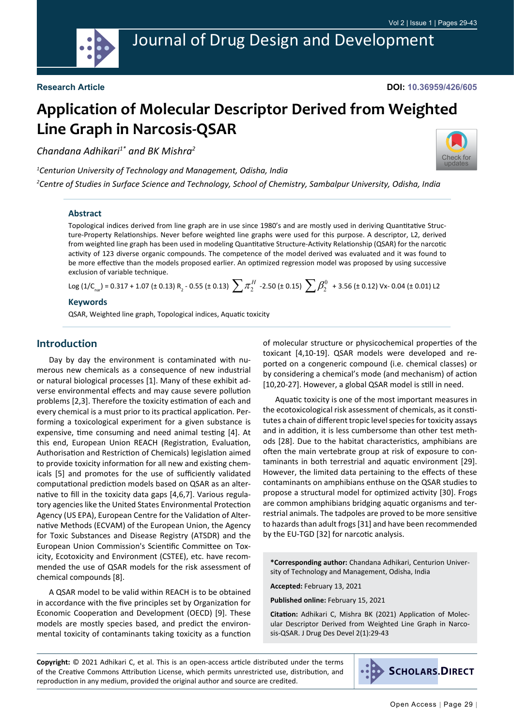**DOI: 10.36959/426/605**

# **Application of Molecular Descriptor Derived from Weighted Line Graph in Narcosis-QSAR**

*Chandana Adhikari1\* and BK Mishra2*

*1 Centurion University of Technology and Management, Odisha, India*



*2 Centre of Studies in Surface Science and Technology, School of Chemistry, Sambalpur University, Odisha, India*

#### **Abstract**

Topological indices derived from line graph are in use since 1980's and are mostly used in deriving Quantitative Structure-Property Relationships. Never before weighted line graphs were used for this purpose. A descriptor, L2, derived from weighted line graph has been used in modeling Quantitative Structure-Activity Relationship (QSAR) for the narcotic activity of 123 diverse organic compounds. The competence of the model derived was evaluated and it was found to be more effective than the models proposed earlier. An optimized regression model was proposed by using successive exclusion of variable technique.

Log (1/C<sub>nar</sub>) = 0.317 + 1.07 (± 0.13) R<sub>2</sub> - 0.55 (± 0.13)  $\sum \pi_2^H$  -2.50 (± 0.15)  $\sum \beta_2^0$  + 3.56 (± 0.12) Vx- 0.04 (± 0.01) L2

#### **Keywords**

QSAR, Weighted line graph, Topological indices, Aquatic toxicity

#### **Introduction**

Day by day the environment is contaminated with numerous new chemicals as a consequence of new industrial or natural biological processes [1]. Many of these exhibit adverse environmental effects and may cause severe pollution problems [2,3]. Therefore the toxicity estimation of each and every chemical is a must prior to its practical application. Performing a toxicological experiment for a given substance is expensive, time consuming and need animal testing [4]. At this end, European Union REACH (Registration, Evaluation, Authorisation and Restriction of Chemicals) legislation aimed to provide toxicity information for all new and existing chemicals [5] and promotes for the use of sufficiently validated computational prediction models based on QSAR as an alternative to fill in the toxicity data gaps [4,6,7]. Various regulatory agencies like the United States Environmental Protection Agency (US EPA), European Centre for the Validation of Alternative Methods (ECVAM) of the European Union, the Agency for Toxic Substances and Disease Registry (ATSDR) and the European Union Commission's Scientific Committee on Toxicity, Ecotoxicity and Environment (CSTEE), etc. have recommended the use of QSAR models for the risk assessment of chemical compounds [8].

A QSAR model to be valid within REACH is to be obtained in accordance with the five principles set by Organization for Economic Cooperation and Development (OECD) [9]. These models are mostly species based, and predict the environmental toxicity of contaminants taking toxicity as a function

of molecular structure or physicochemical properties of the toxicant [4,10-19]. QSAR models were developed and reported on a congeneric compound (i.e. chemical classes) or by considering a chemical's mode (and mechanism) of action [10,20-27]. However, a global QSAR model is still in need.

Aquatic toxicity is one of the most important measures in the ecotoxicological risk assessment of chemicals, as it constitutes a chain of different tropic level species for toxicity assays and in addition, it is less cumbersome than other test methods [28]. Due to the habitat characteristics, amphibians are often the main vertebrate group at risk of exposure to contaminants in both terrestrial and aquatic environment [29]. However, the limited data pertaining to the effects of these contaminants on amphibians enthuse on the QSAR studies to propose a structural model for optimized activity [30]. Frogs are common amphibians bridging aquatic organisms and terrestrial animals. The tadpoles are proved to be more sensitive to hazards than adult frogs [31] and have been recommended by the EU-TGD [32] for narcotic analysis.

**\*Corresponding author:** Chandana Adhikari, Centurion University of Technology and Management, Odisha, India

**Accepted:** February 13, 2021

**Published online:** February 15, 2021

**Citation:** Adhikari C, Mishra BK (2021) Application of Molecular Descriptor Derived from Weighted Line Graph in Narcosis-QSAR. J Drug Des Devel 2(1):29-43

**Copyright:** © 2021 Adhikari C, et al. This is an open-access article distributed under the terms of the Creative Commons Attribution License, which permits unrestricted use, distribution, and reproduction in any medium, provided the original author and source are credited.

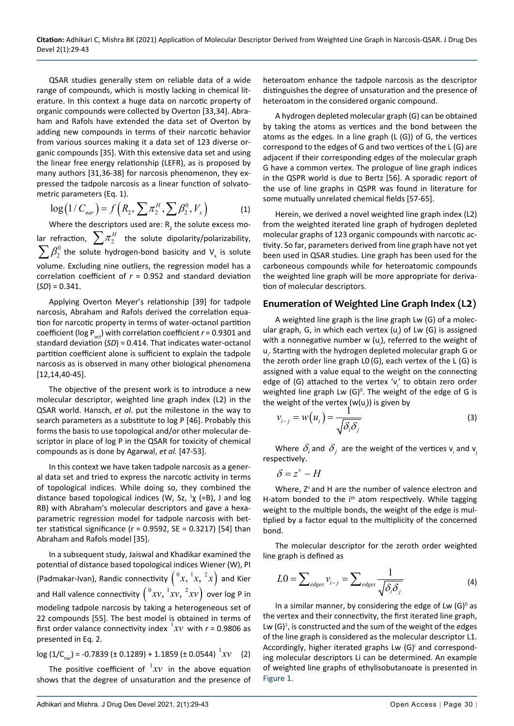QSAR studies generally stem on reliable data of a wide range of compounds, which is mostly lacking in chemical literature. In this context a huge data on narcotic property of organic compounds were collected by Overton [33,34]. Abraham and Rafols have extended the data set of Overton by adding new compounds in terms of their narcotic behavior from various sources making it a data set of 123 diverse organic compounds [35]. With this extensive data set and using the linear free energy relationship (LEFR), as is proposed by many authors [31,36-38] for narcosis phenomenon, they expressed the tadpole narcosis as a linear function of solvatometric parameters (Eq. 1).

$$
\log(1/C_{nar}) = f(R_2, \sum \pi_2^H, \sum \beta_2^0, V_x)
$$
 (1)

Where the descriptors used are:  $R_2^2$  the solute excess molar refraction,  $\sum \pi_2^H$  the solute dipolarity/polarizability,<br> $\sum \beta_2^0$  the solute hydrogen-bond basicity and V<sub>x</sub> is solute volume. Excluding nine outliers, the regression model has a correlation coefficient of *r* = 0.952 and standard deviation (*SD*) = 0.341.

Applying Overton Meyer's relationship [39] for tadpole narcosis, Abraham and Rafols derived the correlation equation for narcotic property in terms of water-octanol partition coefficient (log  $P_{oct}$ ) with correlation coefficient  $r = 0.9301$  and standard deviation (*SD*) = 0.414. That indicates water-octanol partition coefficient alone is sufficient to explain the tadpole narcosis as is observed in many other biological phenomena [12,14,40-45].

The objective of the present work is to introduce a new molecular descriptor, weighted line graph index (L2) in the QSAR world. Hansch, *et al*. put the milestone in the way to search parameters as a substitute to log P [46]. Probably this forms the basis to use topological and/or other molecular descriptor in place of log P in the QSAR for toxicity of chemical compounds as is done by Agarwal, *et al.* [47-53].

In this context we have taken tadpole narcosis as a general data set and tried to express the narcotic activity in terms of topological indices. While doing so, they combined the distance based topological indices (W, Sz,  $\frac{1}{\chi}$  (=B), J and log RB) with Abraham's molecular descriptors and gave a hexaparametric regression model for tadpole narcosis with better statistical significance ( $r = 0.9592$ ,  $SE = 0.3217$ ) [54] than Abraham and Rafols model [35].

In a subsequent study, Jaiswal and Khadikar examined the potential of distance based topological indices Wiener (W), PI (Padmakar-Ivan), Randic connectivity  $\left( \frac{0}{x}, \frac{1}{x}, \frac{2}{x} \right)$  and Kier and Hall valence connectivity  $\left( \frac{0}{2}xv , \frac{1}{2}xv , \frac{2}{2}xv \right)$  over log P in modeling tadpole narcosis by taking a heterogeneous set of 22 compounds [55]. The best model is obtained in terms of first order valance connectivity index  ${}^{1}xv$  with  $r = 0.9806$  as presented in Eq. 2.

$$
\log (1/C_{\text{par}}) = -0.7839 \left( \pm 0.1289 \right) + 1.1859 \left( \pm 0.0544 \right)^{-1} XV \tag{2}
$$

The positive coefficient of  ${}^{1}x v$  in the above equation shows that the degree of unsaturation and the presence of

heteroatom enhance the tadpole narcosis as the descriptor distinguishes the degree of unsaturation and the presence of heteroatom in the considered organic compound.

A hydrogen depleted molecular graph (G) can be obtained by taking the atoms as vertices and the bond between the atoms as the edges. In a line graph (L (G)) of G, the vertices correspond to the edges of G and two vertices of the L (G) are adjacent if their corresponding edges of the molecular graph G have a common vertex. The prologue of line graph indices in the QSPR world is due to Bertz [56]. A sporadic report of the use of line graphs in QSPR was found in literature for some mutually unrelated chemical fields [57-65].

Herein, we derived a novel weighted line graph index (L2) from the weighted iterated line graph of hydrogen depleted molecular graphs of 123 organic compounds with narcotic activity. So far, parameters derived from line graph have not yet been used in QSAR studies. Line graph has been used for the carboneous compounds while for heteroatomic compounds the weighted line graph will be more appropriate for derivation of molecular descriptors.

### **Enumeration of Weighted Line Graph Index (L2)**

A weighted line graph is the line graph Lw (G) of a molecular graph, G, in which each vertex  $(u_i)$  of Lw (G) is assigned with a nonnegative number w  $(u<sub>i</sub>)$ , referred to the weight of u<sub>i</sub>. Starting with the hydrogen depleted molecular graph G or the zeroth order line graph L0 (G), each vertex of the L (G) is assigned with a value equal to the weight on the connecting edge of (G) attached to the vertex 'v<sub>i</sub>' to obtain zero order weighted line graph Lw  $(G)^0$ . The weight of the edge of G is the weight of the vertex  $(w(u_i))$  is given by

$$
v_{i-j} = w(u_i) = \frac{1}{\sqrt{\delta_i \delta_j}}
$$
 (3)

Where  $\delta_i$  and  $\delta_j$  are the weight of the vertices  $v_i$  and  $v_j$ respectively.

$$
\delta = z^v - H
$$

Where, Z<sup>v</sup> and H are the number of valence electron and H-atom bonded to the  $i<sup>th</sup>$  atom respectively. While tagging weight to the multiple bonds, the weight of the edge is multiplied by a factor equal to the multiplicity of the concerned bond.

The molecular descriptor for the zeroth order weighted line graph is defined as

$$
L0 = \sum_{edges} v_{i-j} = \sum_{edges} \frac{1}{\sqrt{\delta_i \delta_j}}
$$
(4)

In a similar manner, by considering the edge of Lw  $(G)^{o}$  as the vertex and their connectivity, the first iterated line graph, Lw  $(G)^1$ , is constructed and the sum of the weight of the edges of the line graph is considered as the molecular descriptor L1. Accordingly, higher iterated graphs Lw (G)<sup>i</sup> and corresponding molecular descriptors Li can be determined. An example of weighted line graphs of ethylisobutanoate is presented in [Figure 1](#page-2-0).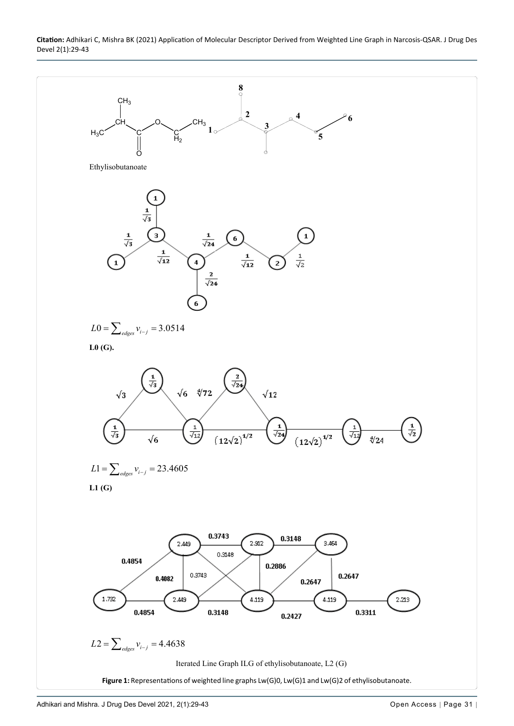<span id="page-2-0"></span>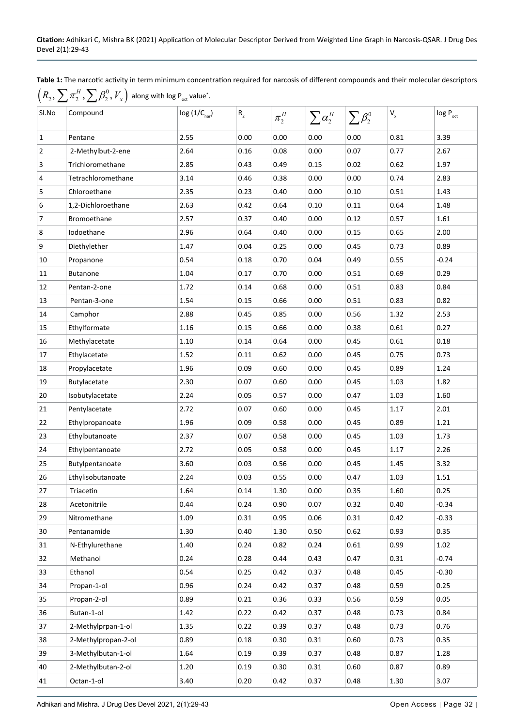<span id="page-3-0"></span>**Table 1:** The narcotic activity in term minimum concentration required for narcosis of different compounds and their molecular descriptors



| Sl.No                   | Compound            | $log(1/C_{\text{nar}})$ | $\mathsf{R}_{\mathsf{2}}$ | $\pi_2^H$ | $\sum \alpha_2^H$ | $\sum \beta_2^0$ | $\mathsf{V}_{\mathsf{x}}$ | $log P_{oct}$ |
|-------------------------|---------------------|-------------------------|---------------------------|-----------|-------------------|------------------|---------------------------|---------------|
| $\mathbf{1}$            | Pentane             | 2.55                    | 0.00                      | 0.00      | 0.00              | 0.00             | 0.81                      | 3.39          |
| $\sqrt{2}$              | 2-Methylbut-2-ene   | 2.64                    | 0.16                      | 0.08      | 0.00              | 0.07             | 0.77                      | 2.67          |
| 3                       | Trichloromethane    | 2.85                    | 0.43                      | 0.49      | 0.15              | 0.02             | 0.62                      | 1.97          |
| $\overline{\mathbf{4}}$ | Tetrachloromethane  | 3.14                    | 0.46                      | 0.38      | 0.00              | 0.00             | 0.74                      | 2.83          |
| $\sqrt{5}$              | Chloroethane        | 2.35                    | 0.23                      | 0.40      | 0.00              | 0.10             | 0.51                      | 1.43          |
| 6                       | 1,2-Dichloroethane  | 2.63                    | 0.42                      | 0.64      | 0.10              | 0.11             | 0.64                      | 1.48          |
| $\overline{7}$          | Bromoethane         | 2.57                    | 0.37                      | 0.40      | 0.00              | 0.12             | 0.57                      | 1.61          |
| 8                       | Iodoethane          | 2.96                    | 0.64                      | 0.40      | 0.00              | 0.15             | 0.65                      | 2.00          |
| 9                       | Diethylether        | 1.47                    | 0.04                      | 0.25      | 0.00              | 0.45             | 0.73                      | 0.89          |
| 10                      | Propanone           | 0.54                    | 0.18                      | 0.70      | 0.04              | 0.49             | 0.55                      | $-0.24$       |
| 11                      | <b>Butanone</b>     | 1.04                    | 0.17                      | 0.70      | 0.00              | 0.51             | 0.69                      | 0.29          |
| 12                      | Pentan-2-one        | 1.72                    | 0.14                      | 0.68      | 0.00              | 0.51             | 0.83                      | 0.84          |
| 13                      | Pentan-3-one        | 1.54                    | 0.15                      | 0.66      | 0.00              | 0.51             | 0.83                      | 0.82          |
| 14                      | Camphor             | 2.88                    | 0.45                      | 0.85      | 0.00              | 0.56             | 1.32                      | 2.53          |
| 15                      | Ethylformate        | 1.16                    | 0.15                      | 0.66      | 0.00              | 0.38             | 0.61                      | 0.27          |
| 16                      | Methylacetate       | 1.10                    | 0.14                      | 0.64      | 0.00              | 0.45             | 0.61                      | 0.18          |
| 17                      | Ethylacetate        | 1.52                    | 0.11                      | 0.62      | 0.00              | 0.45             | 0.75                      | 0.73          |
| 18                      | Propylacetate       | 1.96                    | 0.09                      | 0.60      | 0.00              | 0.45             | 0.89                      | 1.24          |
| 19                      | Butylacetate        | 2.30                    | 0.07                      | 0.60      | 0.00              | 0.45             | 1.03                      | 1.82          |
| 20                      | Isobutylacetate     | 2.24                    | 0.05                      | 0.57      | 0.00              | 0.47             | 1.03                      | 1.60          |
| 21                      | Pentylacetate       | 2.72                    | 0.07                      | 0.60      | 0.00              | 0.45             | 1.17                      | 2.01          |
| 22                      | Ethylpropanoate     | 1.96                    | 0.09                      | 0.58      | 0.00              | 0.45             | 0.89                      | 1.21          |
| 23                      | Ethylbutanoate      | 2.37                    | 0.07                      | 0.58      | 0.00              | 0.45             | 1.03                      | 1.73          |
| 24                      | Ethylpentanoate     | 2.72                    | 0.05                      | 0.58      | 0.00              | 0.45             | 1.17                      | 2.26          |
| 25                      | Butylpentanoate     | 3.60                    | 0.03                      | 0.56      | 0.00              | 0.45             | 1.45                      | 3.32          |
| 26                      | Ethylisobutanoate   | 2.24                    | 0.03                      | 0.55      | 0.00              | 0.47             | 1.03                      | 1.51          |
| 27                      | Triacetin           | 1.64                    | 0.14                      | $1.30\,$  | 0.00              | 0.35             | 1.60                      | 0.25          |
| 28                      | Acetonitrile        | 0.44                    | 0.24                      | 0.90      | 0.07              | 0.32             | 0.40                      | $-0.34$       |
| 29                      | Nitromethane        | 1.09                    | 0.31                      | 0.95      | 0.06              | 0.31             | 0.42                      | $-0.33$       |
| 30                      | Pentanamide         | 1.30                    | 0.40                      | 1.30      | 0.50              | 0.62             | 0.93                      | 0.35          |
| 31                      | N-Ethylurethane     | 1.40                    | 0.24                      | 0.82      | 0.24              | 0.61             | 0.99                      | 1.02          |
| 32                      | Methanol            | 0.24                    | 0.28                      | 0.44      | 0.43              | 0.47             | 0.31                      | $-0.74$       |
| 33                      | Ethanol             | 0.54                    | 0.25                      | 0.42      | 0.37              | 0.48             | 0.45                      | $-0.30$       |
| 34                      | Propan-1-ol         | 0.96                    | 0.24                      | 0.42      | 0.37              | 0.48             | 0.59                      | 0.25          |
| 35                      | Propan-2-ol         | 0.89                    | 0.21                      | 0.36      | 0.33              | 0.56             | 0.59                      | 0.05          |
| 36                      | Butan-1-ol          | 1.42                    | 0.22                      | 0.42      | 0.37              | 0.48             | 0.73                      | 0.84          |
| 37                      | 2-Methylprpan-1-ol  | 1.35                    | 0.22                      | 0.39      | 0.37              | 0.48             | 0.73                      | 0.76          |
| 38                      | 2-Methylpropan-2-ol | 0.89                    | 0.18                      | 0.30      | 0.31              | 0.60             | 0.73                      | 0.35          |
| 39                      | 3-Methylbutan-1-ol  | 1.64                    | 0.19                      | 0.39      | 0.37              | 0.48             | 0.87                      | 1.28          |
| 40                      | 2-Methylbutan-2-ol  | 1.20                    | 0.19                      | 0.30      | 0.31              | 0.60             | 0.87                      | 0.89          |
| 41                      | Octan-1-ol          | 3.40                    | 0.20                      | 0.42      | 0.37              | 0.48             | 1.30                      | 3.07          |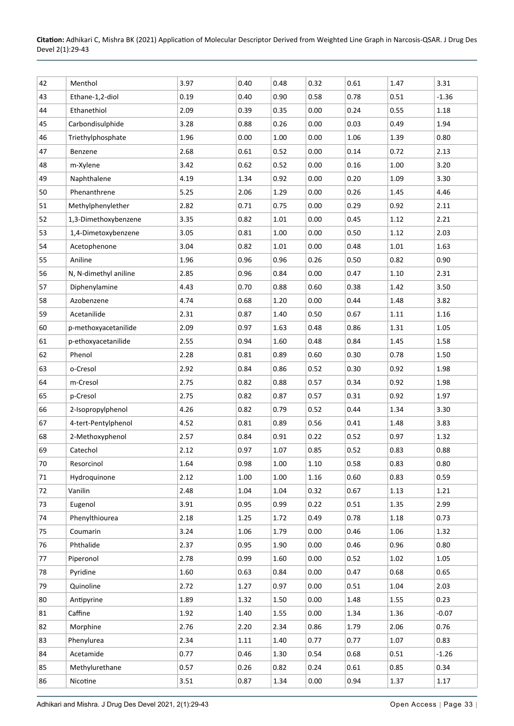| 42 | Menthol               | 3.97 | 0.40 | 0.48 | 0.32     | 0.61 | 1.47 | 3.31    |
|----|-----------------------|------|------|------|----------|------|------|---------|
| 43 | Ethane-1,2-diol       | 0.19 | 0.40 | 0.90 | 0.58     | 0.78 | 0.51 | $-1.36$ |
| 44 | Ethanethiol           | 2.09 | 0.39 | 0.35 | 0.00     | 0.24 | 0.55 | 1.18    |
| 45 | Carbondisulphide      | 3.28 | 0.88 | 0.26 | 0.00     | 0.03 | 0.49 | 1.94    |
| 46 | Triethylphosphate     | 1.96 | 0.00 | 1.00 | 0.00     | 1.06 | 1.39 | 0.80    |
| 47 | Benzene               | 2.68 | 0.61 | 0.52 | 0.00     | 0.14 | 0.72 | 2.13    |
| 48 | m-Xylene              | 3.42 | 0.62 | 0.52 | 0.00     | 0.16 | 1.00 | 3.20    |
| 49 | Naphthalene           | 4.19 | 1.34 | 0.92 | 0.00     | 0.20 | 1.09 | 3.30    |
| 50 | Phenanthrene          | 5.25 | 2.06 | 1.29 | 0.00     | 0.26 | 1.45 | 4.46    |
| 51 | Methylphenylether     | 2.82 | 0.71 | 0.75 | 0.00     | 0.29 | 0.92 | 2.11    |
| 52 | 1,3-Dimethoxybenzene  | 3.35 | 0.82 | 1.01 | 0.00     | 0.45 | 1.12 | 2.21    |
| 53 | 1,4-Dimetoxybenzene   | 3.05 | 0.81 | 1.00 | 0.00     | 0.50 | 1.12 | 2.03    |
| 54 | Acetophenone          | 3.04 | 0.82 | 1.01 | 0.00     | 0.48 | 1.01 | 1.63    |
| 55 | Aniline               | 1.96 | 0.96 | 0.96 | 0.26     | 0.50 | 0.82 | 0.90    |
| 56 | N, N-dimethyl aniline | 2.85 | 0.96 | 0.84 | 0.00     | 0.47 | 1.10 | 2.31    |
| 57 | Diphenylamine         | 4.43 | 0.70 | 0.88 | 0.60     | 0.38 | 1.42 | 3.50    |
| 58 | Azobenzene            | 4.74 | 0.68 | 1.20 | 0.00     | 0.44 | 1.48 | 3.82    |
| 59 | Acetanilide           | 2.31 | 0.87 | 1.40 | 0.50     | 0.67 | 1.11 | 1.16    |
| 60 | p-methoxyacetanilide  | 2.09 | 0.97 | 1.63 | 0.48     | 0.86 | 1.31 | 1.05    |
| 61 | p-ethoxyacetanilide   | 2.55 | 0.94 | 1.60 | 0.48     | 0.84 | 1.45 | 1.58    |
| 62 | Phenol                | 2.28 | 0.81 | 0.89 | 0.60     | 0.30 | 0.78 | 1.50    |
| 63 | o-Cresol              | 2.92 | 0.84 | 0.86 | 0.52     | 0.30 | 0.92 | 1.98    |
| 64 | m-Cresol              | 2.75 | 0.82 | 0.88 | 0.57     | 0.34 | 0.92 | 1.98    |
| 65 | p-Cresol              | 2.75 | 0.82 | 0.87 | 0.57     | 0.31 | 0.92 | 1.97    |
| 66 | 2-Isopropylphenol     | 4.26 | 0.82 | 0.79 | 0.52     | 0.44 | 1.34 | 3.30    |
| 67 | 4-tert-Pentylphenol   | 4.52 | 0.81 | 0.89 | 0.56     | 0.41 | 1.48 | 3.83    |
| 68 | 2-Methoxyphenol       | 2.57 | 0.84 | 0.91 | 0.22     | 0.52 | 0.97 | 1.32    |
| 69 | Catechol              | 2.12 | 0.97 | 1.07 | 0.85     | 0.52 | 0.83 | 0.88    |
| 70 | Resorcinol            | 1.64 | 0.98 | 1.00 | $1.10\,$ | 0.58 | 0.83 | 0.80    |
| 71 | Hydroquinone          | 2.12 | 1.00 | 1.00 | 1.16     | 0.60 | 0.83 | 0.59    |
| 72 | Vanilin               | 2.48 | 1.04 | 1.04 | 0.32     | 0.67 | 1.13 | 1.21    |
| 73 | Eugenol               | 3.91 | 0.95 | 0.99 | 0.22     | 0.51 | 1.35 | 2.99    |
| 74 | Phenylthiourea        | 2.18 | 1.25 | 1.72 | 0.49     | 0.78 | 1.18 | 0.73    |
| 75 | Coumarin              | 3.24 | 1.06 | 1.79 | 0.00     | 0.46 | 1.06 | 1.32    |
| 76 | Phthalide             | 2.37 | 0.95 | 1.90 | 0.00     | 0.46 | 0.96 | 0.80    |
| 77 | Piperonol             | 2.78 | 0.99 | 1.60 | 0.00     | 0.52 | 1.02 | 1.05    |
| 78 | Pyridine              | 1.60 | 0.63 | 0.84 | 0.00     | 0.47 | 0.68 | 0.65    |
| 79 | Quinoline             | 2.72 | 1.27 | 0.97 | 0.00     | 0.51 | 1.04 | 2.03    |
| 80 | Antipyrine            | 1.89 | 1.32 | 1.50 | 0.00     | 1.48 | 1.55 | 0.23    |
| 81 | Caffine               | 1.92 | 1.40 | 1.55 | 0.00     | 1.34 | 1.36 | $-0.07$ |
| 82 | Morphine              | 2.76 | 2.20 | 2.34 | 0.86     | 1.79 | 2.06 | 0.76    |
| 83 | Phenylurea            | 2.34 | 1.11 | 1.40 | 0.77     | 0.77 | 1.07 | 0.83    |
| 84 | Acetamide             | 0.77 | 0.46 | 1.30 | 0.54     | 0.68 | 0.51 | $-1.26$ |
| 85 | Methylurethane        | 0.57 | 0.26 | 0.82 | 0.24     | 0.61 | 0.85 | 0.34    |
| 86 | Nicotine              | 3.51 | 0.87 | 1.34 | 0.00     | 0.94 | 1.37 | 1.17    |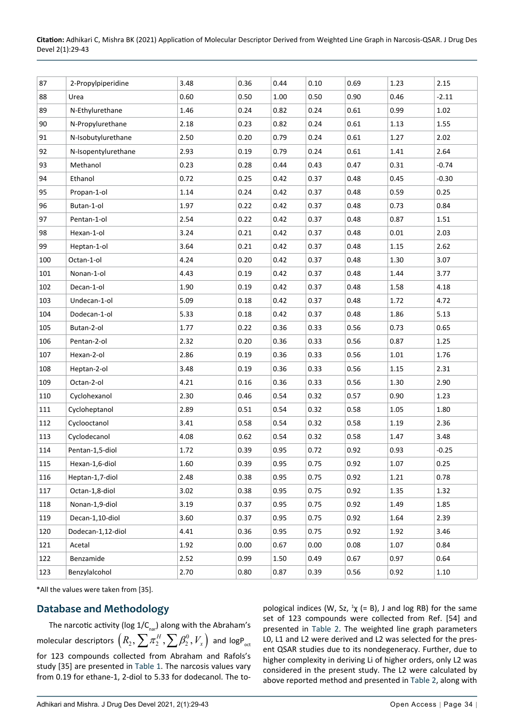| 87  | 2-Propylpiperidine  | 3.48 | 0.36 | 0.44     | 0.10 | 0.69 | 1.23 | 2.15     |
|-----|---------------------|------|------|----------|------|------|------|----------|
| 88  | Urea                | 0.60 | 0.50 | $1.00\,$ | 0.50 | 0.90 | 0.46 | $-2.11$  |
| 89  | N-Ethylurethane     | 1.46 | 0.24 | 0.82     | 0.24 | 0.61 | 0.99 | 1.02     |
| 90  | N-Propylurethane    | 2.18 | 0.23 | 0.82     | 0.24 | 0.61 | 1.13 | 1.55     |
| 91  | N-Isobutylurethane  | 2.50 | 0.20 | 0.79     | 0.24 | 0.61 | 1.27 | 2.02     |
| 92  | N-Isopentylurethane | 2.93 | 0.19 | 0.79     | 0.24 | 0.61 | 1.41 | 2.64     |
| 93  | Methanol            | 0.23 | 0.28 | 0.44     | 0.43 | 0.47 | 0.31 | $-0.74$  |
| 94  | Ethanol             | 0.72 | 0.25 | 0.42     | 0.37 | 0.48 | 0.45 | $-0.30$  |
| 95  | Propan-1-ol         | 1.14 | 0.24 | 0.42     | 0.37 | 0.48 | 0.59 | 0.25     |
| 96  | Butan-1-ol          | 1.97 | 0.22 | 0.42     | 0.37 | 0.48 | 0.73 | 0.84     |
| 97  | Pentan-1-ol         | 2.54 | 0.22 | 0.42     | 0.37 | 0.48 | 0.87 | 1.51     |
| 98  | Hexan-1-ol          | 3.24 | 0.21 | 0.42     | 0.37 | 0.48 | 0.01 | 2.03     |
| 99  | Heptan-1-ol         | 3.64 | 0.21 | 0.42     | 0.37 | 0.48 | 1.15 | 2.62     |
| 100 | Octan-1-ol          | 4.24 | 0.20 | 0.42     | 0.37 | 0.48 | 1.30 | 3.07     |
| 101 | Nonan-1-ol          | 4.43 | 0.19 | 0.42     | 0.37 | 0.48 | 1.44 | 3.77     |
| 102 | Decan-1-ol          | 1.90 | 0.19 | 0.42     | 0.37 | 0.48 | 1.58 | 4.18     |
| 103 | Undecan-1-ol        | 5.09 | 0.18 | 0.42     | 0.37 | 0.48 | 1.72 | 4.72     |
| 104 | Dodecan-1-ol        | 5.33 | 0.18 | 0.42     | 0.37 | 0.48 | 1.86 | 5.13     |
| 105 | Butan-2-ol          | 1.77 | 0.22 | 0.36     | 0.33 | 0.56 | 0.73 | 0.65     |
| 106 | Pentan-2-ol         | 2.32 | 0.20 | 0.36     | 0.33 | 0.56 | 0.87 | 1.25     |
| 107 | Hexan-2-ol          | 2.86 | 0.19 | 0.36     | 0.33 | 0.56 | 1.01 | 1.76     |
| 108 | Heptan-2-ol         | 3.48 | 0.19 | 0.36     | 0.33 | 0.56 | 1.15 | 2.31     |
| 109 | Octan-2-ol          | 4.21 | 0.16 | 0.36     | 0.33 | 0.56 | 1.30 | 2.90     |
| 110 | Cyclohexanol        | 2.30 | 0.46 | 0.54     | 0.32 | 0.57 | 0.90 | 1.23     |
| 111 | Cycloheptanol       | 2.89 | 0.51 | 0.54     | 0.32 | 0.58 | 1.05 | 1.80     |
| 112 | Cyclooctanol        | 3.41 | 0.58 | 0.54     | 0.32 | 0.58 | 1.19 | 2.36     |
| 113 | Cyclodecanol        | 4.08 | 0.62 | 0.54     | 0.32 | 0.58 | 1.47 | 3.48     |
| 114 | Pentan-1,5-diol     | 1.72 | 0.39 | 0.95     | 0.72 | 0.92 | 0.93 | $-0.25$  |
| 115 | Hexan-1,6-diol      | 1.60 | 0.39 | 0.95     | 0.75 | 0.92 | 1.07 | 0.25     |
| 116 | Heptan-1,7-diol     | 2.48 | 0.38 | 0.95     | 0.75 | 0.92 | 1.21 | 0.78     |
| 117 | Octan-1,8-diol      | 3.02 | 0.38 | 0.95     | 0.75 | 0.92 | 1.35 | 1.32     |
| 118 | Nonan-1,9-diol      | 3.19 | 0.37 | 0.95     | 0.75 | 0.92 | 1.49 | 1.85     |
| 119 | Decan-1,10-diol     | 3.60 | 0.37 | 0.95     | 0.75 | 0.92 | 1.64 | 2.39     |
| 120 | Dodecan-1,12-diol   | 4.41 | 0.36 | 0.95     | 0.75 | 0.92 | 1.92 | 3.46     |
| 121 | Acetal              | 1.92 | 0.00 | 0.67     | 0.00 | 0.08 | 1.07 | 0.84     |
| 122 | Benzamide           | 2.52 | 0.99 | 1.50     | 0.49 | 0.67 | 0.97 | 0.64     |
| 123 | Benzylalcohol       | 2.70 | 0.80 | 0.87     | 0.39 | 0.56 | 0.92 | $1.10\,$ |

\*All the values were taken from [35].

## **Database and Methodology**

The narcotic activity (log  $1/C_{\text{nar}}$ ) along with the Abraham's molecular descriptors  $\left(R_{2},\sum\pi_{2}^{H},\sum\beta_{2}^{0},V_{_{\chi}}\right)$  and logP<sub>oct</sub> for 123 compounds collected from Abraham and Rafols's study [35] are presented in [Table 1](#page-3-0). The narcosis values vary from 0.19 for ethane-1, 2-diol to 5.33 for dodecanol. The to-

pological indices (W, Sz,  $\frac{1}{\chi}$  (= B), J and log RB) for the same set of 123 compounds were collected from Ref. [54] and presented in [Table 2.](#page-6-0) The weighted line graph parameters L0, L1 and L2 were derived and L2 was selected for the present QSAR studies due to its nondegeneracy. Further, due to higher complexity in deriving Li of higher orders, only L2 was considered in the present study. The L2 were calculated by above reported method and presented in [Table 2](#page-6-0), along with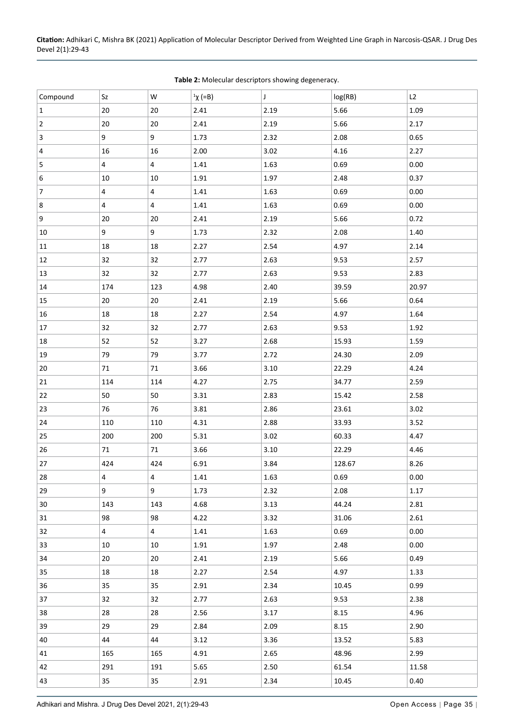| Compound       | Sz             | W              | $\chi$ (=B) | J        | log(RB) | L2       |
|----------------|----------------|----------------|-------------|----------|---------|----------|
| $\mathbf{1}$   | $20\,$         | $20\,$         | 2.41        | 2.19     | 5.66    | 1.09     |
| $\sqrt{2}$     | 20             | 20             | 2.41        | 2.19     | 5.66    | 2.17     |
| 3              | 9              | 9              | 1.73        | 2.32     | 2.08    | 0.65     |
| 4              | 16             | 16             | 2.00        | 3.02     | 4.16    | 2.27     |
| $\sqrt{5}$     | 4              | $\overline{4}$ | 1.41        | 1.63     | 0.69    | 0.00     |
| 6              | 10             | 10             | 1.91        | 1.97     | 2.48    | 0.37     |
| $\overline{7}$ | 4              | 4              | 1.41        | 1.63     | 0.69    | 0.00     |
| 8              | 4              | 4              | 1.41        | 1.63     | 0.69    | 0.00     |
| 9              | $20\,$         | 20             | 2.41        | 2.19     | 5.66    | 0.72     |
| 10             | 9              | 9              | 1.73        | 2.32     | 2.08    | 1.40     |
| 11             | $18\,$         | 18             | 2.27        | 2.54     | 4.97    | 2.14     |
| 12             | 32             | 32             | 2.77        | 2.63     | 9.53    | 2.57     |
| 13             | 32             | 32             | 2.77        | 2.63     | 9.53    | 2.83     |
| 14             | 174            | 123            | 4.98        | 2.40     | 39.59   | 20.97    |
| 15             | $20\,$         | $20\,$         | 2.41        | 2.19     | 5.66    | 0.64     |
| 16             | 18             | 18             | 2.27        | 2.54     | 4.97    | 1.64     |
| 17             | 32             | 32             | 2.77        | 2.63     | 9.53    | 1.92     |
| 18             | 52             | 52             | 3.27        | 2.68     | 15.93   | 1.59     |
| 19             | 79             | 79             | 3.77        | 2.72     | 24.30   | 2.09     |
| 20             | $71\,$         | 71             | 3.66        | 3.10     | 22.29   | 4.24     |
| 21             | 114            | 114            | 4.27        | 2.75     | 34.77   | 2.59     |
| 22             | 50             | 50             | 3.31        | 2.83     | 15.42   | 2.58     |
| 23             | 76             | 76             | 3.81        | 2.86     | 23.61   | 3.02     |
| 24             | 110            | 110            | 4.31        | 2.88     | 33.93   | 3.52     |
| 25             | 200            | 200            | 5.31        | 3.02     | 60.33   | 4.47     |
| 26             | 71             | 71             | 3.66        | 3.10     | 22.29   | 4.46     |
| 27             | 424            | 424            | 6.91        | 3.84     | 128.67  | 8.26     |
| 28             | 4              | 4              | 1.41        | $1.63\,$ | 0.69    | 0.00     |
| 29             | 9              | 9              | 1.73        | 2.32     | 2.08    | 1.17     |
| $30\,$         | 143            | 143            | 4.68        | 3.13     | 44.24   | 2.81     |
| 31             | 98             | 98             | 4.22        | 3.32     | 31.06   | 2.61     |
| 32             | $\overline{4}$ | $\overline{4}$ | 1.41        | 1.63     | 0.69    | 0.00     |
| 33             | 10             | 10             | 1.91        | 1.97     | 2.48    | $0.00\,$ |
| 34             | 20             | 20             | 2.41        | 2.19     | 5.66    | 0.49     |
| 35             | 18             | 18             | 2.27        | 2.54     | 4.97    | 1.33     |
| 36             | 35             | 35             | 2.91        | 2.34     | 10.45   | 0.99     |
| 37             | 32             | 32             | 2.77        | 2.63     | 9.53    | 2.38     |
| 38             | 28             | 28             | 2.56        | 3.17     | 8.15    | 4.96     |
| 39             | 29             | 29             | 2.84        | 2.09     | 8.15    | 2.90     |
| 40             | 44             | 44             | 3.12        | 3.36     | 13.52   | 5.83     |
| 41             | 165            | 165            | 4.91        | 2.65     | 48.96   | 2.99     |
| 42             | 291            | 191            | 5.65        | 2.50     | 61.54   | 11.58    |
| 43             | 35             | 35             | 2.91        | 2.34     | 10.45   | 0.40     |

<span id="page-6-0"></span>**Table 2:** Molecular descriptors showing degeneracy.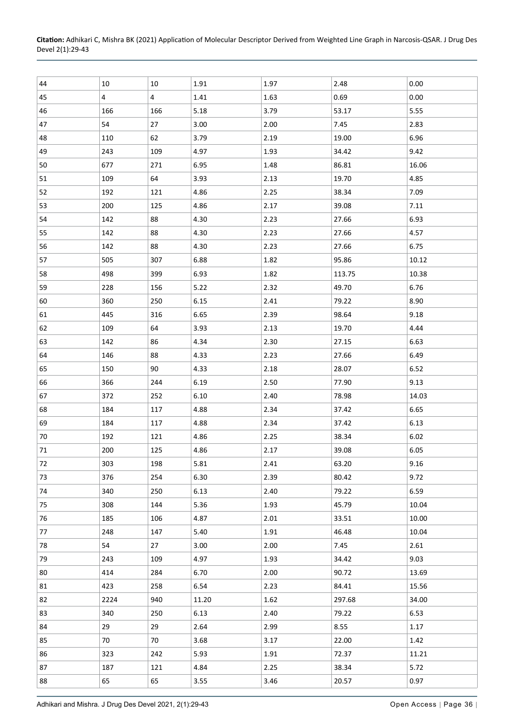| 44     | 10   | 10             | 1.91  | 1.97 | 2.48   | 0.00  |
|--------|------|----------------|-------|------|--------|-------|
| 45     | 4    | $\overline{4}$ | 1.41  | 1.63 | 0.69   | 0.00  |
| 46     | 166  | 166            | 5.18  | 3.79 | 53.17  | 5.55  |
| 47     | 54   | 27             | 3.00  | 2.00 | 7.45   | 2.83  |
| 48     | 110  | 62             | 3.79  | 2.19 | 19.00  | 6.96  |
| 49     | 243  | 109            | 4.97  | 1.93 | 34.42  | 9.42  |
| 50     | 677  | 271            | 6.95  | 1.48 | 86.81  | 16.06 |
| 51     | 109  | 64             | 3.93  | 2.13 | 19.70  | 4.85  |
| 52     | 192  | 121            | 4.86  | 2.25 | 38.34  | 7.09  |
| 53     | 200  | 125            | 4.86  | 2.17 | 39.08  | 7.11  |
| 54     | 142  | 88             | 4.30  | 2.23 | 27.66  | 6.93  |
| 55     | 142  | 88             | 4.30  | 2.23 | 27.66  | 4.57  |
| 56     | 142  | 88             | 4.30  | 2.23 | 27.66  | 6.75  |
| 57     | 505  | 307            | 6.88  | 1.82 | 95.86  | 10.12 |
| 58     | 498  | 399            | 6.93  | 1.82 | 113.75 | 10.38 |
| 59     | 228  | 156            | 5.22  | 2.32 | 49.70  | 6.76  |
| 60     | 360  | 250            | 6.15  | 2.41 | 79.22  | 8.90  |
| 61     | 445  | 316            | 6.65  | 2.39 | 98.64  | 9.18  |
| 62     | 109  | 64             | 3.93  | 2.13 | 19.70  | 4.44  |
| 63     | 142  | 86             | 4.34  | 2.30 | 27.15  | 6.63  |
| 64     | 146  | 88             | 4.33  | 2.23 | 27.66  | 6.49  |
| 65     | 150  | 90             | 4.33  | 2.18 | 28.07  | 6.52  |
| 66     | 366  | 244            | 6.19  | 2.50 | 77.90  | 9.13  |
| 67     | 372  | 252            | 6.10  | 2.40 | 78.98  | 14.03 |
| 68     | 184  | 117            | 4.88  | 2.34 | 37.42  | 6.65  |
| 69     | 184  | 117            | 4.88  | 2.34 | 37.42  | 6.13  |
| $70\,$ | 192  | 121            | 4.86  | 2.25 | 38.34  | 6.02  |
| 71     | 200  | 125            | 4.86  | 2.17 | 39.08  | 6.05  |
| 72     | 303  | 198            | 5.81  | 2.41 | 63.20  | 9.16  |
| 73     | 376  | 254            | 6.30  | 2.39 | 80.42  | 9.72  |
| 74     | 340  | 250            | 6.13  | 2.40 | 79.22  | 6.59  |
| 75     | 308  | 144            | 5.36  | 1.93 | 45.79  | 10.04 |
| 76     | 185  | 106            | 4.87  | 2.01 | 33.51  | 10.00 |
| 77     | 248  | 147            | 5.40  | 1.91 | 46.48  | 10.04 |
| 78     | 54   | 27             | 3.00  | 2.00 | 7.45   | 2.61  |
| 79     | 243  | 109            | 4.97  | 1.93 | 34.42  | 9.03  |
| 80     | 414  | 284            | 6.70  | 2.00 | 90.72  | 13.69 |
| 81     | 423  | 258            | 6.54  | 2.23 | 84.41  | 15.56 |
| 82     | 2224 | 940            | 11.20 | 1.62 | 297.68 | 34.00 |
| 83     | 340  | 250            | 6.13  | 2.40 | 79.22  | 6.53  |
| 84     | 29   | 29             | 2.64  | 2.99 | 8.55   | 1.17  |
| 85     | 70   | 70             | 3.68  | 3.17 | 22.00  | 1.42  |
| 86     | 323  | 242            | 5.93  | 1.91 | 72.37  | 11.21 |
| 87     | 187  | 121            | 4.84  | 2.25 | 38.34  | 5.72  |
| 88     | 65   | 65             | 3.55  | 3.46 | 20.57  | 0.97  |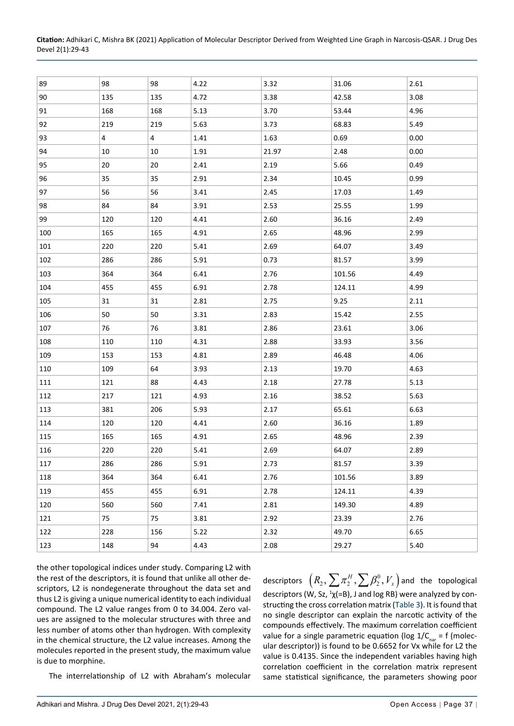| 104 | ---<br>45 | A5F | ົ ດ1<br>$\sim$ | 2.78 | 174             | 1 QQ<br>$\overline{ }$ |
|-----|-----------|-----|----------------|------|-----------------|------------------------|
|     |           | 499 | <u>U.JI</u>    |      | ---<br><u>.</u> | –⊷                     |

| Devel 2(1):29-43 |  |
|------------------|--|
|                  |  |

| 89      | 98  | 98  | 4.22 | 3.32  | 31.06  | 2.61 |
|---------|-----|-----|------|-------|--------|------|
| 90      | 135 | 135 | 4.72 | 3.38  | 42.58  | 3.08 |
| 91      | 168 | 168 | 5.13 | 3.70  | 53.44  | 4.96 |
| 92      | 219 | 219 | 5.63 | 3.73  | 68.83  | 5.49 |
| 93      | 4   | 4   | 1.41 | 1.63  | 0.69   | 0.00 |
| 94      | 10  | 10  | 1.91 | 21.97 | 2.48   | 0.00 |
| 95      | 20  | 20  | 2.41 | 2.19  | 5.66   | 0.49 |
| 96      | 35  | 35  | 2.91 | 2.34  | 10.45  | 0.99 |
| 97      | 56  | 56  | 3.41 | 2.45  | 17.03  | 1.49 |
| 98      | 84  | 84  | 3.91 | 2.53  | 25.55  | 1.99 |
| 99      | 120 | 120 | 4.41 | 2.60  | 36.16  | 2.49 |
| 100     | 165 | 165 | 4.91 | 2.65  | 48.96  | 2.99 |
| 101     | 220 | 220 | 5.41 | 2.69  | 64.07  | 3.49 |
| 102     | 286 | 286 | 5.91 | 0.73  | 81.57  | 3.99 |
| 103     | 364 | 364 | 6.41 | 2.76  | 101.56 | 4.49 |
| 104     | 455 | 455 | 6.91 | 2.78  | 124.11 | 4.99 |
| 105     | 31  | 31  | 2.81 | 2.75  | 9.25   | 2.11 |
| 106     | 50  | 50  | 3.31 | 2.83  | 15.42  | 2.55 |
| 107     | 76  | 76  | 3.81 | 2.86  | 23.61  | 3.06 |
| 108     | 110 | 110 | 4.31 | 2.88  | 33.93  | 3.56 |
| 109     | 153 | 153 | 4.81 | 2.89  | 46.48  | 4.06 |
| 110     | 109 | 64  | 3.93 | 2.13  | 19.70  | 4.63 |
| 111     | 121 | 88  | 4.43 | 2.18  | 27.78  | 5.13 |
| 112     | 217 | 121 | 4.93 | 2.16  | 38.52  | 5.63 |
| 113     | 381 | 206 | 5.93 | 2.17  | 65.61  | 6.63 |
| 114     | 120 | 120 | 4.41 | 2.60  | 36.16  | 1.89 |
| 115     | 165 | 165 | 4.91 | 2.65  | 48.96  | 2.39 |
| 116     | 220 | 220 | 5.41 | 2.69  | 64.07  | 2.89 |
| $117\,$ | 286 | 286 | 5.91 | 2.73  | 81.57  | 3.39 |
| 118     | 364 | 364 | 6.41 | 2.76  | 101.56 | 3.89 |
| 119     | 455 | 455 | 6.91 | 2.78  | 124.11 | 4.39 |
| 120     | 560 | 560 | 7.41 | 2.81  | 149.30 | 4.89 |
| 121     | 75  | 75  | 3.81 | 2.92  | 23.39  | 2.76 |
| 122     | 228 | 156 | 5.22 | 2.32  | 49.70  | 6.65 |
| 123     | 148 | 94  | 4.43 | 2.08  | 29.27  | 5.40 |
|         |     |     |      |       |        |      |

the other topological indices under study. Comparing L2 with the rest of the descriptors, it is found that unlike all other descriptors, L2 is nondegenerate throughout the data set and thus L2 is giving a unique numerical identity to each individual compound. The L2 value ranges from 0 to 34.004. Zero values are assigned to the molecular structures with three and less number of atoms other than hydrogen. With complexity in the chemical structure, the L2 value increases. Among the molecules reported in the present study, the maximum value is due to morphine.

The interrelationship of L2 with Abraham's molecular

descriptors  $\left(R_{_2},\sum\pi_{2}^{\scriptscriptstyle H},\sum\beta_{2}^0,V_{_x}\right)$  and the topological descriptors (W, Sz,  $\frac{1}{2}$ (=B), J and log RB) were analyzed by constructing the cross correlation matrix ([Table 3\)](#page-9-0). It is found that no single descriptor can explain the narcotic activity of the compounds effectively. The maximum correlation coefficient value for a single parametric equation (log  $1/C_{\text{par}} = f$  (molecular descriptor)) is found to be 0.6652 for Vx while for L2 the value is 0.4135. Since the independent variables having high correlation coefficient in the correlation matrix represent same statistical significance, the parameters showing poor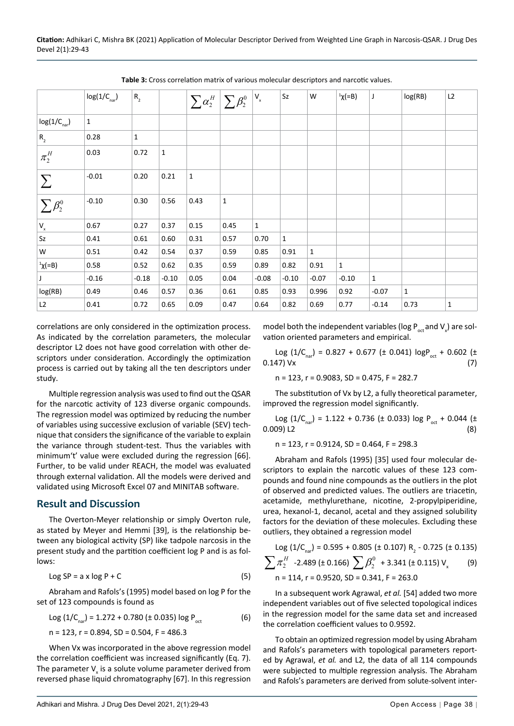|                           | $log(1/C_{par})$ | $\mathsf{R}_{\scriptscriptstyle{2}}$ |              | $\sum \alpha_2^H \bigm \sum \beta_2^0 \bigm ^{ \mathsf{V}_\mathsf{x}}$ |             |              | Sz           | W            | ${}^{1}\chi(-B)$ | J       | log(RB)      | L2           |
|---------------------------|------------------|--------------------------------------|--------------|------------------------------------------------------------------------|-------------|--------------|--------------|--------------|------------------|---------|--------------|--------------|
| $log(1/C_{\text{nar}})$   | $\mathbf 1$      |                                      |              |                                                                        |             |              |              |              |                  |         |              |              |
| $R_{2}$                   | 0.28             | $\mathbf{1}$                         |              |                                                                        |             |              |              |              |                  |         |              |              |
| $\pi_2^H$                 | 0.03             | 0.72                                 | $\mathbf{1}$ |                                                                        |             |              |              |              |                  |         |              |              |
| $\sum$                    | $-0.01$          | 0.20                                 | 0.21         | $\mathbf{1}$                                                           |             |              |              |              |                  |         |              |              |
| $\sum \beta_2^0$          | $-0.10$          | 0.30                                 | 0.56         | 0.43                                                                   | $\mathbf 1$ |              |              |              |                  |         |              |              |
| $\mathsf{V}_{\mathsf{x}}$ | 0.67             | 0.27                                 | 0.37         | 0.15                                                                   | 0.45        | $\mathbf{1}$ |              |              |                  |         |              |              |
| Sz                        | 0.41             | 0.61                                 | 0.60         | 0.31                                                                   | 0.57        | 0.70         | $\mathbf{1}$ |              |                  |         |              |              |
| W                         | 0.51             | 0.42                                 | 0.54         | 0.37                                                                   | 0.59        | 0.85         | 0.91         | $\mathbf{1}$ |                  |         |              |              |
| ${}^{1}x(=B)$             | 0.58             | 0.52                                 | 0.62         | 0.35                                                                   | 0.59        | 0.89         | 0.82         | 0.91         | $\mathbf{1}$     |         |              |              |
| J                         | $-0.16$          | $-0.18$                              | $-0.10$      | 0.05                                                                   | 0.04        | $-0.08$      | $-0.10$      | $-0.07$      | $-0.10$          | 1       |              |              |
| log(RB)                   | 0.49             | 0.46                                 | 0.57         | 0.36                                                                   | 0.61        | 0.85         | 0.93         | 0.996        | 0.92             | $-0.07$ | $\mathbf{1}$ |              |
| L2                        | 0.41             | 0.72                                 | 0.65         | 0.09                                                                   | 0.47        | 0.64         | 0.82         | 0.69         | 0.77             | $-0.14$ | 0.73         | $\mathbf{1}$ |

<span id="page-9-0"></span>**Table 3:** Cross correlation matrix of various molecular descriptors and narcotic values.

correlations are only considered in the optimization process. As indicated by the correlation parameters, the molecular descriptor L2 does not have good correlation with other descriptors under consideration. Accordingly the optimization process is carried out by taking all the ten descriptors under study.

Multiple regression analysis was used to find out the QSAR for the narcotic activity of 123 diverse organic compounds. The regression model was optimized by reducing the number of variables using successive exclusion of variable (SEV) technique that considers the significance of the variable to explain the variance through student-test. Thus the variables with minimum't' value were excluded during the regression [66]. Further, to be valid under REACH, the model was evaluated through external validation. All the models were derived and validated using Microsoft Excel 07 and MINITAB software.

## **Result and Discussion**

The Overton-Meyer relationship or simply Overton rule, as stated by Meyer and Hemmi [39], is the relationship between any biological activity (SP) like tadpole narcosis in the present study and the partition coefficient log P and is as follows:

$$
Log SP = a \times log P + C \tag{5}
$$

Abraham and Rafols's (1995) model based on log P for the set of 123 compounds is found as

$$
Log (1/C_{nar}) = 1.272 + 0.780 \ (\pm 0.035) \ log P_{oct}
$$
 (6)

 $n = 123$ ,  $r = 0.894$ ,  $SD = 0.504$ ,  $F = 486.3$ 

When Vx was incorporated in the above regression model the correlation coefficient was increased significantly (Eq. 7). The parameter  $V_{\rm x}$  is a solute volume parameter derived from reversed phase liquid chromatography [67]. In this regression

model both the independent variables (log  $P_{\text{out}}$  and  $V_{\text{x}}$ ) are solvation oriented parameters and empirical.

Log  $(1/C_{\text{par}}) = 0.827 + 0.677$  (± 0.041)  $\log P_{\text{oct}} + 0.602$  (± 47) Vx (7)  $0.147$ ) Vx

n = 123, r = 0.9083, SD = 0.475, F = 282.7

The substitution of Vx by L2, a fully theoretical parameter, improved the regression model significantly.

Log  $(1/C_{\text{nar}}) = 1.122 + 0.736 \text{ (± } 0.033) \log P_{\text{oct}} + 0.044 \text{ (± } 0.03) \text{ L2}$  (8)  $0.009$ ) L<sub>2</sub>

n = 123, r = 0.9124, SD = 0.464, F = 298.3

Abraham and Rafols (1995) [35] used four molecular descriptors to explain the narcotic values of these 123 compounds and found nine compounds as the outliers in the plot of observed and predicted values. The outliers are triacetin, acetamide, methylurethane, nicotine, 2-propylpiperidine, urea, hexanol-1, decanol, acetal and they assigned solubility factors for the deviation of these molecules. Excluding these outliers, they obtained a regression model

Log 
$$
(1/C_{\text{nar}}) = 0.595 + 0.805 \text{ (± } 0.107) \text{ R}_2 - 0.725 \text{ (± } 0.135)
$$
  
\n
$$
\sum \pi_2^H -2.489 \text{ (± } 0.166) \sum \beta_2^0 +3.341 \text{ (± } 0.115) \text{ V}_x \qquad (9)
$$
\n
$$
n = 114, r = 0.9520, SD = 0.341, F = 263.0
$$

In a subsequent work Agrawal, *et al.* [54] added two more independent variables out of five selected topological indices in the regression model for the same data set and increased the correlation coefficient values to 0.9592.

To obtain an optimized regression model by using Abraham and Rafols's parameters with topological parameters reported by Agrawal, *et al.* and L2, the data of all 114 compounds were subjected to multiple regression analysis. The Abraham and Rafols's parameters are derived from solute-solvent inter-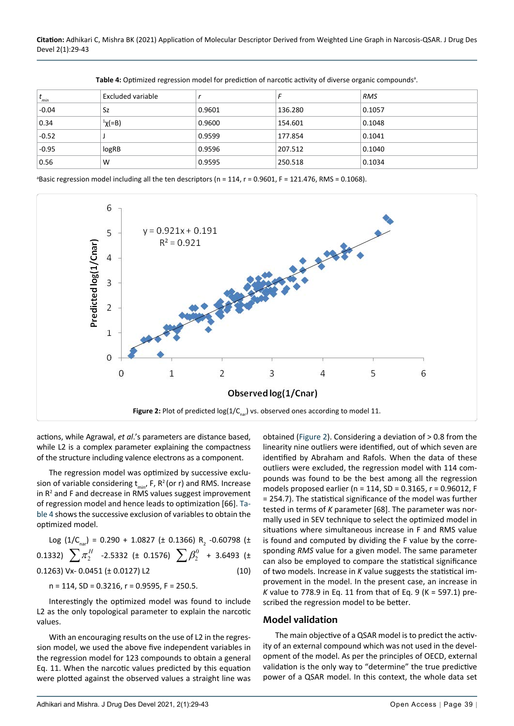| $t_{\text{min}}$ | Excluded variable  |        |         | <b>RMS</b> |
|------------------|--------------------|--------|---------|------------|
| $-0.04$          | Sz                 | 0.9601 | 136.280 | 0.1057     |
| 0.34             | <sup>1</sup> χ(=B) | 0.9600 | 154.601 | 0.1048     |
| $-0.52$          |                    | 0.9599 | 177.854 | 0.1041     |
| $-0.95$          | logRB              | 0.9596 | 207.512 | 0.1040     |
| 0.56             | W                  | 0.9595 | 250.518 | 0.1034     |

<span id="page-10-1"></span>Table 4: Optimized regression model for prediction of narcotic activity of diverse organic compounds<sup>a</sup>.

a Basic regression model including all the ten descriptors (n = 114, r = 0.9601, F = 121.476, RMS = 0.1068).

<span id="page-10-0"></span>

actions, while Agrawal, *et al*.'s parameters are distance based, while L2 is a complex parameter explaining the compactness of the structure including valence electrons as a component.

The regression model was optimized by successive exclusion of variable considering  $t_{min}$ , F, R<sup>2</sup> (or r) and RMS. Increase in  $R<sup>2</sup>$  and F and decrease in RMS values suggest improvement of regression model and hence leads to optimization [66]. [Ta](#page-10-1)[ble 4](#page-10-1) shows the successive exclusion of variables to obtain the optimized model.

Log (1/C<sub>nar</sub>) = 0.290 + 1.0827 (± 0.1366) R<sub>2</sub> -0.60798 (± 0.1332)  $\sum \pi^H_2$  -2.5332 (± 0.1576)  $\sum \beta^0_2$  + 3.6493 (± 0.1263) Vx- 0.0451 ( $\pm$  0.0127) L2 (10)

n = 114, SD = 0.3216, r = 0.9595, F = 250.5.

Interestingly the optimized model was found to include L2 as the only topological parameter to explain the narcotic values.

With an encouraging results on the use of L2 in the regression model, we used the above five independent variables in the regression model for 123 compounds to obtain a general Eq. 11. When the narcotic values predicted by this equation were plotted against the observed values a straight line was

obtained [\(Figure 2](#page-10-0)). Considering a deviation of > 0.8 from the linearity nine outliers were identified, out of which seven are identified by Abraham and Rafols. When the data of these outliers were excluded, the regression model with 114 compounds was found to be the best among all the regression models proposed earlier (n = 114, SD = 0.3165, r = 0.96012, F = 254.7). The statistical significance of the model was further tested in terms of *K* parameter [68]. The parameter was normally used in SEV technique to select the optimized model in situations where simultaneous increase in F and RMS value is found and computed by dividing the F value by the corresponding *RMS* value for a given model. The same parameter can also be employed to compare the statistical significance of two models. Increase in *K* value suggests the statistical improvement in the model. In the present case, an increase in *K* value to 778.9 in Eq. 11 from that of Eq. 9 (K = 597.1) prescribed the regression model to be better.

#### **Model validation**

The main objective of a QSAR model is to predict the activity of an external compound which was not used in the development of the model. As per the principles of OECD, external validation is the only way to "determine" the true predictive power of a QSAR model. In this context, the whole data set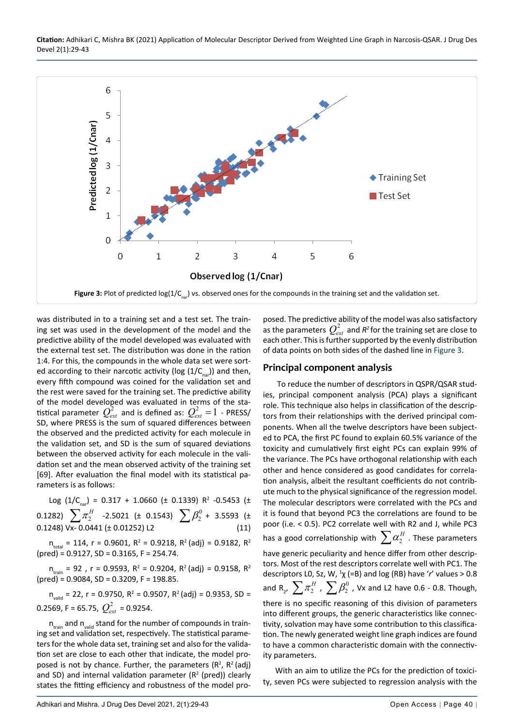<span id="page-11-0"></span>

was distributed in to a training set and a test set. The training set was used in the development of the model and the predictive ability of the model developed was evaluated with the external test set. The distribution was done in the ration 1:4. For this, the compounds in the whole data set were sorted according to their narcotic activity (log  $(1/C_{\text{max}})$ ) and then, every fifth compound was coined for the validation set and the rest were saved for the training set. The predictive ability of the model developed was evaluated in terms of the statistical parameter  $\mathcal{Q}_{ext}^2$  and is defined as:  $\mathcal{Q}_{ext}^2$  =  $1$  - PRESS/ SD, where PRESS is the sum of squared differences between the observed and the predicted activity for each molecule in the validation set, and SD is the sum of squared deviations between the observed activity for each molecule in the validation set and the mean observed activity of the training set [69]. After evaluation the final model with its statistical parameters is as follows:

Log (1/C<sub>nar</sub>) = 0.317 + 1.0660 (± 0.1339) R<sup>2</sup> -0.5453 (± 0.1282)  $\sum \pi_2^H$  -2.5021 (± 0.1543)  $\sum \beta_2^0$  + 3.5593 (± 0.1248) Vx- 0.0441 (± 0.01252) L2 (11)

 $n_{\text{total}}$  = 114, r = 0.9601, R<sup>2</sup> = 0.9218, R<sup>2</sup> (adj) = 0.9182, R<sup>2</sup> (pred) = 0.9127, SD = 0.3165, F = 254.74.

 $n_{\text{train}} = 92$ , r = 0.9593, R<sup>2</sup> = 0.9204, R<sup>2</sup> (adj) = 0.9158, R<sup>2</sup>  $(\text{pred}) = 0.9084$ , SD = 0.3209, F = 198.85.

 $n_{\text{valid}} = 22$ , r = 0.9750, R<sup>2</sup> = 0.9507, R<sup>2</sup> (adj) = 0.9353, SD = 0.2569, F = 65.75,  $Q_{\text{avt}}^2$  = 0.9254.

 $n_{\text{train}}$  and  $n_{\text{valid}}$  stand for the number of compounds in training set and validation set, respectively. The statistical parameters for the whole data set, training set and also for the validation set are close to each other that indicate, the model proposed is not by chance. Further, the parameters  $(R^2, R^2 | \text{adj})$ and SD) and internal validation parameter  $(R^2 \text{ (pred)})$  clearly states the fitting efficiency and robustness of the model proposed. The predictive ability of the model was also satisfactory as the parameters  $Q_{ext}^2$  and  $R^2$  for the training set are close to each other. This is further supported by the evenly distribution of data points on both sides of the dashed line in [Figure 3](#page-11-0).

#### **Principal component analysis**

 To reduce the number of descriptors in QSPR/QSAR studies, principal component analysis (PCA) plays a significant role. This technique also helps in classification of the descriptors from their relationships with the derived principal components. When all the twelve descriptors have been subjected to PCA, the first PC found to explain 60.5% variance of the toxicity and cumulatively first eight PCs can explain 99% of the variance. The PCs have orthogonal relationship with each other and hence considered as good candidates for correlation analysis, albeit the resultant coefficients do not contribute much to the physical significance of the regression model. The molecular descriptors were correlated with the PCs and it is found that beyond PC3 the correlations are found to be poor (i.e. < 0.5). PC2 correlate well with R2 and J, while PC3 has a good correlationship with  $\sum a_2^H$  . These parameters have generic peculiarity and hence differ from other descriptors. Most of the rest descriptors correlate well with PC1. The descriptors L0, Sz, W,  $\frac{1}{x}$  (=B) and log (RB) have 'r' values > 0.8 and R<sub>2</sub>,  $\sum \pi_2^H$  ,  $\sum \beta_2^0$  , Vx and L2 have 0.6 - 0.8. Though, there is no specific reasoning of this division of parameters

into different groups, the generic characteristics like connectivity, solvation may have some contribution to this classification. The newly generated weight line graph indices are found to have a common characteristic domain with the connectivity parameters.

With an aim to utilize the PCs for the prediction of toxicity, seven PCs were subjected to regression analysis with the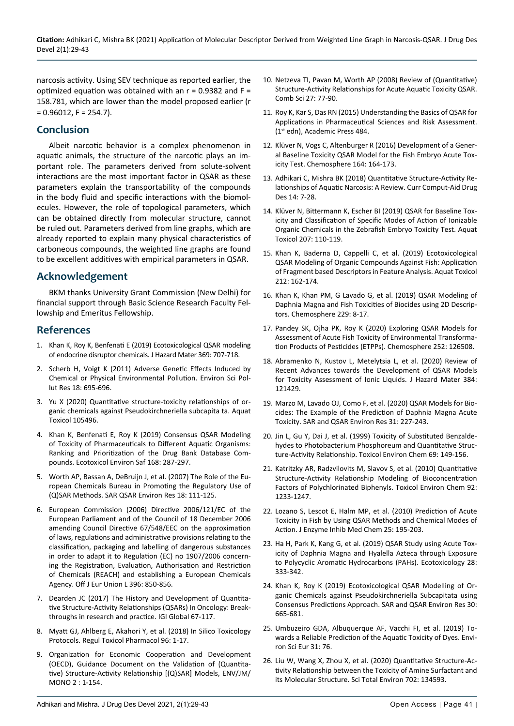narcosis activity. Using SEV technique as reported earlier, the optimized equation was obtained with an  $r = 0.9382$  and  $F =$ 158.781, which are lower than the model proposed earlier (r  $= 0.96012$ , F = 254.7).

## **Conclusion**

Albeit narcotic behavior is a complex phenomenon in aquatic animals, the structure of the narcotic plays an important role. The parameters derived from solute-solvent interactions are the most important factor in QSAR as these parameters explain the transportability of the compounds in the body fluid and specific interactions with the biomolecules. However, the role of topological parameters, which can be obtained directly from molecular structure, cannot be ruled out. Parameters derived from line graphs, which are already reported to explain many physical characteristics of carboneous compounds, the weighted line graphs are found to be excellent additives with empirical parameters in QSAR.

## **Acknowledgement**

BKM thanks University Grant Commission (New Delhi) for financial support through Basic Science Research Faculty Fellowship and Emeritus Fellowship.

## **References**

- 1. Khan K, Roy K, Benfenati E (2019) Ecotoxicological QSAR modeling of endocrine disruptor chemicals. J Hazard Mater 369: 707-718.
- 2. [Scherb H, Voigt K \(2011\) Adverse Genetic Effects Induced by](https://pubmed.ncbi.nlm.nih.gov/20390368/)  [Chemical or Physical Environmental Pollution.](https://pubmed.ncbi.nlm.nih.gov/20390368/) Environ Sci Pollut [Res 18: 695-696.](https://pubmed.ncbi.nlm.nih.gov/20390368/)
- 3. [Yu X \(2020\) Quantitative structure-toxicity relationships of or](https://pubmed.ncbi.nlm.nih.gov/32408003/)[ganic chemicals against Pseudokirchneriella subcapita ta.](https://pubmed.ncbi.nlm.nih.gov/32408003/) Aquat [Toxicol 105496.](https://pubmed.ncbi.nlm.nih.gov/32408003/)
- 4. [Khan K, Benfenati E, Roy K \(2019\) Consensus QSAR Modeling](https://pubmed.ncbi.nlm.nih.gov/30390527/)  [of Toxicity of Pharmaceuticals to Different Aquatic Organisms:](https://pubmed.ncbi.nlm.nih.gov/30390527/)  [Ranking and Prioritization of the Drug Bank Database Com](https://pubmed.ncbi.nlm.nih.gov/30390527/)pounds. [Ecotoxicol Environ Saf](https://pubmed.ncbi.nlm.nih.gov/30390527/) 168: 287-297.
- 5. [Worth AP, Bassan A, DeBruijn J, et al. \(2007\) The Role of the Eu](https://europepmc.org/article/med/17365963)[ropean Chemicals Bureau in Promoting the Regulatory Use of](https://europepmc.org/article/med/17365963)  [\(Q\)SAR Methods. SAR QSAR Environ Res 18: 111-125.](https://europepmc.org/article/med/17365963)
- 6. [European Commission \(2006\) Directive 2006/121/EC of the](https://www.google.com/url?q=https://eur-lex.europa.eu/LexUriServ/LexUriServ.do?uri%3DOJ:L:2006:396:0850:0856:EN:PDF&sa=D&source=hangouts&ust=1612690741826000&usg=AFQjCNFk4d3QLxgeZERnJDXeQmDl2mmJUw)  [European Parliament and of the Council of 18 December 2006](https://www.google.com/url?q=https://eur-lex.europa.eu/LexUriServ/LexUriServ.do?uri%3DOJ:L:2006:396:0850:0856:EN:PDF&sa=D&source=hangouts&ust=1612690741826000&usg=AFQjCNFk4d3QLxgeZERnJDXeQmDl2mmJUw)  [amending Council Directive 67/548/EEC on the approximation](https://www.google.com/url?q=https://eur-lex.europa.eu/LexUriServ/LexUriServ.do?uri%3DOJ:L:2006:396:0850:0856:EN:PDF&sa=D&source=hangouts&ust=1612690741826000&usg=AFQjCNFk4d3QLxgeZERnJDXeQmDl2mmJUw)  [of laws, regulations and administrative provisions relating to the](https://www.google.com/url?q=https://eur-lex.europa.eu/LexUriServ/LexUriServ.do?uri%3DOJ:L:2006:396:0850:0856:EN:PDF&sa=D&source=hangouts&ust=1612690741826000&usg=AFQjCNFk4d3QLxgeZERnJDXeQmDl2mmJUw)  [classification, packaging and labelling of dangerous substances](https://www.google.com/url?q=https://eur-lex.europa.eu/LexUriServ/LexUriServ.do?uri%3DOJ:L:2006:396:0850:0856:EN:PDF&sa=D&source=hangouts&ust=1612690741826000&usg=AFQjCNFk4d3QLxgeZERnJDXeQmDl2mmJUw)  [in order to adapt it to Regulation \(EC\) no 1907/2006 concern](https://www.google.com/url?q=https://eur-lex.europa.eu/LexUriServ/LexUriServ.do?uri%3DOJ:L:2006:396:0850:0856:EN:PDF&sa=D&source=hangouts&ust=1612690741826000&usg=AFQjCNFk4d3QLxgeZERnJDXeQmDl2mmJUw)[ing the Registration, Evaluation, Authorisation and Restriction](https://www.google.com/url?q=https://eur-lex.europa.eu/LexUriServ/LexUriServ.do?uri%3DOJ:L:2006:396:0850:0856:EN:PDF&sa=D&source=hangouts&ust=1612690741826000&usg=AFQjCNFk4d3QLxgeZERnJDXeQmDl2mmJUw)  [of Chemicals \(REACH\) and establishing a European Chemicals](https://www.google.com/url?q=https://eur-lex.europa.eu/LexUriServ/LexUriServ.do?uri%3DOJ:L:2006:396:0850:0856:EN:PDF&sa=D&source=hangouts&ust=1612690741826000&usg=AFQjCNFk4d3QLxgeZERnJDXeQmDl2mmJUw)  [Agency. Off J Eur Union L 396: 850-856.](https://www.google.com/url?q=https://eur-lex.europa.eu/LexUriServ/LexUriServ.do?uri%3DOJ:L:2006:396:0850:0856:EN:PDF&sa=D&source=hangouts&ust=1612690741826000&usg=AFQjCNFk4d3QLxgeZERnJDXeQmDl2mmJUw)
- 7. Dearden JC (2017) The History and Development of Quantitative Structure-Activity Relationships (QSARs) In Oncology: Breakthroughs in research and practice. IGI Global 67-117.
- 8. [Myatt GJ, Ahlberg E, Akahori Y, et al. \(2018\) In Silico Toxicology](https://pubmed.ncbi.nlm.nih.gov/29678766/)  [Protocols. Regul Toxicol Pharmacol 96: 1-17.](https://pubmed.ncbi.nlm.nih.gov/29678766/)
- 9. Organization for Economic Cooperation and Development (OECD), Guidance Document on the Validation of (Quantitative) Structure-Activity Relationship [(Q)SAR] Models, ENV/JM/ MONO 2 : 1-154.
- 10. [Netzeva TI, Pavan M, Worth AP \(2008\) Review of \(Quantitative\)](https://onlinelibrary.wiley.com/doi/abs/10.1002/qsar.200710099)  [Structure-Activity Relationships for Acute Aquatic Toxicity QSAR.](https://onlinelibrary.wiley.com/doi/abs/10.1002/qsar.200710099)  [Comb Sci 27: 77-90.](https://onlinelibrary.wiley.com/doi/abs/10.1002/qsar.200710099)
- 11. Roy K, Kar S, Das RN (2015) Understanding the Basics of QSAR for Applications in Pharmaceutical Sciences and Risk Assessment. (1st edn), Academic Press 484.
- 12. [Klüver N, Vogs C, Altenburger R \(2016\) Development of a Gener](https://pubmed.ncbi.nlm.nih.gov/27588575/)[al Baseline Toxicity QSAR Model for the Fish Embryo Acute Tox](https://pubmed.ncbi.nlm.nih.gov/27588575/)[icity Test. Chemosphere 164: 164-173.](https://pubmed.ncbi.nlm.nih.gov/27588575/)
- 13. [Adhikari C, Mishra BK \(2018\) Quantitative Structure-Activity Re](https://www.ingentaconnect.com/contentone/ben/cad/2018/00000014/00000001/art00005)[lationships of Aquatic Narcosis: A Review. Curr Comput-Aid Drug](https://www.ingentaconnect.com/contentone/ben/cad/2018/00000014/00000001/art00005)  [Des 14: 7-28.](https://www.ingentaconnect.com/contentone/ben/cad/2018/00000014/00000001/art00005)
- 14. [Klüver N, Bittermann K, Escher BI \(2019\) QSAR for Baseline Tox](https://pubmed.ncbi.nlm.nih.gov/30557756/)[icity and Classification of Specific Modes of Action of Ionizable](https://pubmed.ncbi.nlm.nih.gov/30557756/)  [Organic Chemicals in the Zebrafish Embryo Toxicity Test. Aquat](https://pubmed.ncbi.nlm.nih.gov/30557756/)  [Toxicol 207: 110-119.](https://pubmed.ncbi.nlm.nih.gov/30557756/)
- 15. [Khan K, Baderna D, Cappelli C, et al. \(2019\) Ecotoxicological](https://pubmed.ncbi.nlm.nih.gov/31128417/)  [QSAR Modeling of Organic Compounds Against Fish: Application](https://pubmed.ncbi.nlm.nih.gov/31128417/)  [of Fragment based Descriptors in Feature Analysis. Aquat Toxicol](https://pubmed.ncbi.nlm.nih.gov/31128417/)  [212: 162-174.](https://pubmed.ncbi.nlm.nih.gov/31128417/)
- 16. [Khan K, Khan PM, G Lavado G, et al. \(2019\) QSAR Modeling of](https://europepmc.org/article/med/31063877)  [Daphnia Magna and Fish Toxicities of Biocides using 2D Descrip](https://europepmc.org/article/med/31063877)[tors. Chemosphere 229: 8-17.](https://europepmc.org/article/med/31063877)
- 17. [Pandey SK, Ojha PK, Roy K \(2020\) Exploring QSAR Models for](https://pubmed.ncbi.nlm.nih.gov/32240857/)  [Assessment of Acute Fish Toxicity of Environmental Transforma](https://pubmed.ncbi.nlm.nih.gov/32240857/)[tion Products of Pesticides \(ETPPs\). Chemosphere 252: 126508.](https://pubmed.ncbi.nlm.nih.gov/32240857/)
- 18. [Abramenko N, Kustov L, Metelytsia L, et al. \(2020\) Review of](https://pubmed.ncbi.nlm.nih.gov/31732345/)  [Recent Advances towards the Development of QSAR Models](https://pubmed.ncbi.nlm.nih.gov/31732345/)  [for Toxicity Assessment of Ionic Liquids. J Hazard Mater 384:](https://pubmed.ncbi.nlm.nih.gov/31732345/)  [121429.](https://pubmed.ncbi.nlm.nih.gov/31732345/)
- 19. [Marzo M, Lavado OJ, Como F, et al. \(2020\) QSAR Models for Bio](https://pubmed.ncbi.nlm.nih.gov/31941347/)[cides: The Example of the Prediction of Daphnia Magna Acute](https://pubmed.ncbi.nlm.nih.gov/31941347/)  [Toxicity. SAR and QSAR Environ Res 31: 227-243.](https://pubmed.ncbi.nlm.nih.gov/31941347/)
- 20. [Jin L, Gu Y, Dai J, et al. \(1999\) Toxicity of Substituted Benzalde](https://www.tandfonline.com/doi/abs/10.1080/02772249909358696)hydes to [Photobacterium Phosphoreum](https://www.tandfonline.com/doi/abs/10.1080/02772249909358696) and Quantitative Struc[ture‐Activity Relationship. Toxicol Environ Chem](https://www.tandfonline.com/doi/abs/10.1080/02772249909358696) 69: 149-156.
- 21. Katritzky AR, Radzvilovits M, Slavov S, et al. (2010) Quantitative Structure-Activity Relationship Modeling of Bioconcentration Factors of Polychlorinated Biphenyls. Toxicol Environ Chem 92: 1233-1247.
- 22. [Lozano S, Lescot E, Halm MP, et al. \(2010\) Prediction of Acute](https://pubmed.ncbi.nlm.nih.gov/19874208/)  [Toxicity in Fish by Using QSAR Methods and Chemical Modes of](https://pubmed.ncbi.nlm.nih.gov/19874208/)  Action. J Enzyme Inhib [Med Chem 25: 195-203.](https://pubmed.ncbi.nlm.nih.gov/19874208/)
- 23. [Ha H, Park K, Kang G, et al. \(2019\) QSAR Study using Acute Tox](https://pubmed.ncbi.nlm.nih.gov/30790110/)[icity of Daphnia Magna and Hyalella Azteca through Exposure](https://pubmed.ncbi.nlm.nih.gov/30790110/)  [to Polycyclic Aromatic Hydrocarbons \(PAHs\). Ecotoxicology](https://pubmed.ncbi.nlm.nih.gov/30790110/) 28: [333-342.](https://pubmed.ncbi.nlm.nih.gov/30790110/)
- 24. [Khan K, Roy K \(2019\) Ecotoxicological QSAR Modelling of Or](https://pubmed.ncbi.nlm.nih.gov/31474156/)[ganic Chemicals against Pseudokirchneriella Subcapitata using](https://pubmed.ncbi.nlm.nih.gov/31474156/)  [Consensus Predictions Approach.](https://pubmed.ncbi.nlm.nih.gov/31474156/) SAR and QSAR Environ Res 30: [665-681.](https://pubmed.ncbi.nlm.nih.gov/31474156/)
- 25. [Umbuzeiro GDA, Albuquerque AF, Vacchi FI, et al. \(2019\) To](https://bv.fapesp.br/en/publicacao/172071/towards-a-reliable-prediction-of-the-aquatic-toxicity-of-dye/)[wards a Reliable Prediction of the Aquatic Toxicity of Dyes.](https://bv.fapesp.br/en/publicacao/172071/towards-a-reliable-prediction-of-the-aquatic-toxicity-of-dye/) Envi[ron Sci Eur](https://bv.fapesp.br/en/publicacao/172071/towards-a-reliable-prediction-of-the-aquatic-toxicity-of-dye/) 31: 76.
- 26. [Liu W, Wang X, Zhou X, et al. \(2020\) Quantitative Structure-Ac](https://pubmed.ncbi.nlm.nih.gov/31726349/)[tivity Relationship between the Toxicity of Amine Surfactant and](https://pubmed.ncbi.nlm.nih.gov/31726349/)  [its Molecular Structure.](https://pubmed.ncbi.nlm.nih.gov/31726349/) Sci Total Environ 702: 134593.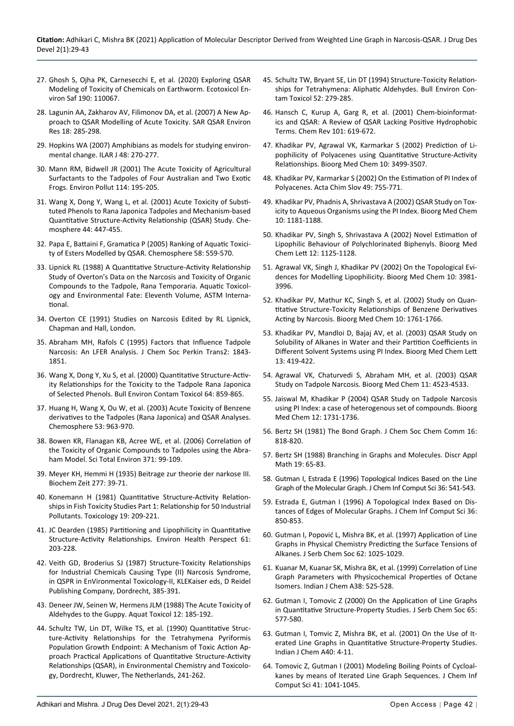- 27. [Ghosh S, Ojha PK, Carnesecchi E, et al. \(2020\) Exploring QSAR](https://europepmc.org/article/med/31855788)  [Modeling of Toxicity of Chemicals on Earthworm.](https://europepmc.org/article/med/31855788) Ecotoxicol Environ Saf [190: 110067.](https://europepmc.org/article/med/31855788)
- 28. [Lagunin AA, Zakharov AV, Filimonov DA, et al. \(2007\) A New Ap](https://pubmed.ncbi.nlm.nih.gov/17514571/)[proach to QSAR Modelling of Acute Toxicity. SAR QSAR Environ](https://pubmed.ncbi.nlm.nih.gov/17514571/)  [Res 18: 285-298.](https://pubmed.ncbi.nlm.nih.gov/17514571/)
- 29. [Hopkins WA \(2007\) Amphibians as models for studying environ](https://pubmed.ncbi.nlm.nih.gov/17592188/)[mental change. ILAR J 48: 270-277.](https://pubmed.ncbi.nlm.nih.gov/17592188/)
- 30. [Mann RM, Bidwell JR \(2001\) The Acute Toxicity of Agricultural](https://pubmed.ncbi.nlm.nih.gov/11504342/)  [Surfactants to the Tadpoles of Four Australian and Two Exotic](https://pubmed.ncbi.nlm.nih.gov/11504342/)  [Frogs. Environ Pollut](https://pubmed.ncbi.nlm.nih.gov/11504342/) 114: 195-205.
- 31. [Wang X, Dong Y, Wang L, et al. \(2001\) Acute Toxicity of Substi](http://www.paper.edu.cn/scholar/showpdf/OUD2EN2IOTD0gxeQh)[tuted Phenols to Rana Japonica Tadpoles and Mechanism-based](http://www.paper.edu.cn/scholar/showpdf/OUD2EN2IOTD0gxeQh)  [Quantitative Structure-Activity Relationship \(QSAR\) Study. Che](http://www.paper.edu.cn/scholar/showpdf/OUD2EN2IOTD0gxeQh)[mosphere 44: 447-455.](http://www.paper.edu.cn/scholar/showpdf/OUD2EN2IOTD0gxeQh)
- 32. [Papa E, Battaini F, Gramatica P \(2005\) Ranking of Aquatic Toxici](https://pubmed.ncbi.nlm.nih.gov/15620749/)[ty of Esters Modelled by QSAR. Chemosphere 58: 559-570.](https://pubmed.ncbi.nlm.nih.gov/15620749/)
- 33. [Lipnick RL \(1988\) A Quantitative Structure-Activity Relationship](https://www.astm.org/DIGITAL_LIBRARY/STP/PAGES/STP10308S.htm)  [Study of Overton's Data on the Narcosis and Toxicity of Organic](https://www.astm.org/DIGITAL_LIBRARY/STP/PAGES/STP10308S.htm)  [Compounds to the Tadpole, Rana Temporaria. Aquatic Toxicol](https://www.astm.org/DIGITAL_LIBRARY/STP/PAGES/STP10308S.htm)[ogy and Environmental Fate: Eleventh Volume, ASTM Interna](https://www.astm.org/DIGITAL_LIBRARY/STP/PAGES/STP10308S.htm)[tional.](https://www.astm.org/DIGITAL_LIBRARY/STP/PAGES/STP10308S.htm)
- 34. [Overton CE \(1991\) Studies on Narcosis Edited by RL Lipnick,](https://books.google.co.in/books?hl=en&lr=&id=Iw_vCAAAQBAJ&oi=fnd&pg=PR9&dq=+Studies+on+Narcosis+Edited+by+RL+Lipnick,+Chapman+and+Hall,+London.&ots=AQHZZoUCsJ&sig=IzRhBJEbOYUs2L1TCJIiYITWsHc)  [Chapman and Hall, London.](https://books.google.co.in/books?hl=en&lr=&id=Iw_vCAAAQBAJ&oi=fnd&pg=PR9&dq=+Studies+on+Narcosis+Edited+by+RL+Lipnick,+Chapman+and+Hall,+London.&ots=AQHZZoUCsJ&sig=IzRhBJEbOYUs2L1TCJIiYITWsHc)
- 35. [Abraham MH, Rafols C \(1995\) Factors that Influence Tadpole](https://pubs.rsc.org/en/content/articlelanding/1995/P2/P29950001843#!divAbstract)  [Narcosis: An LFER Analysis. J Chem Soc Perkin Trans2: 1843-](https://pubs.rsc.org/en/content/articlelanding/1995/P2/P29950001843#!divAbstract) [1851.](https://pubs.rsc.org/en/content/articlelanding/1995/P2/P29950001843#!divAbstract)
- 36. Wang X, Dong Y, Xu S, et al. (2000) Quantitative Structure-Activity Relationships for the Toxicity to the Tadpole Rana Japonica of Selected Phenols. Bull Environ Contam Toxicol 64: 859-865.
- 37. [Huang H, Wang X, Ou W, et al. \(2003\) Acute Toxicity of Benzene](https://pubmed.ncbi.nlm.nih.gov/14505719/)  [derivatives to the Tadpoles \(Rana Japonica\) and QSAR Analyses.](https://pubmed.ncbi.nlm.nih.gov/14505719/)  [Chemosphere 53: 963-970.](https://pubmed.ncbi.nlm.nih.gov/14505719/)
- 38. [Bowen KR, Flanagan KB, Acree WE, et al. \(2006\) Correlation of](https://pubmed.ncbi.nlm.nih.gov/17011022/)  [the Toxicity of Organic Compounds to Tadpoles using the Abra](https://pubmed.ncbi.nlm.nih.gov/17011022/)[ham Model. Sci Total Environ 371: 99-109.](https://pubmed.ncbi.nlm.nih.gov/17011022/)
- 39. Meyer KH, Hemmi H (1935) Beitrage zur theorie der narkose III. Biochem Zeit 277: 39-71.
- 40. [Konemann H \(1981\) Quantitative Structure-Activity Relation](https://pubmed.ncbi.nlm.nih.gov/7233445/)[ships in Fish Toxicity Studies Part 1: Relationship for 50 Industrial](https://pubmed.ncbi.nlm.nih.gov/7233445/)  [Pollutants. Toxicology 19: 209-221.](https://pubmed.ncbi.nlm.nih.gov/7233445/)
- 41. [JC Dearden \(1985\) Partitioning and Lipophilicity in Quantitative](https://www.ncbi.nlm.nih.gov/pmc/articles/PMC1568760/)  [Structure-Activity Relationships. Environ Health Perspect 61:](https://www.ncbi.nlm.nih.gov/pmc/articles/PMC1568760/)  [203-228.](https://www.ncbi.nlm.nih.gov/pmc/articles/PMC1568760/)
- 42. [Veith GD, Broderius SJ \(1987\) Structure-Toxicity Relationships](https://cfpub.epa.gov/si/si_public_record_report.cfm?Lab=NHEERL&dirEntryId=37919&keyword=Narcotics&actType=&TIMSType=+&TIMSSubTypeID=&DEID=&epaNumber=&ntisID=&archiveStatus=Both&ombCat=Any&dateBeginCreated=&dateEndCreated=&dateBeginPublishedPresented=&date)  [for Industrial Chemicals Causing Type \(II\) Narcosis Syndrome,](https://cfpub.epa.gov/si/si_public_record_report.cfm?Lab=NHEERL&dirEntryId=37919&keyword=Narcotics&actType=&TIMSType=+&TIMSSubTypeID=&DEID=&epaNumber=&ntisID=&archiveStatus=Both&ombCat=Any&dateBeginCreated=&dateEndCreated=&dateBeginPublishedPresented=&date)  [in QSPR in EnVironmental Toxicology-II, KLEKaiser eds, D Reidel](https://cfpub.epa.gov/si/si_public_record_report.cfm?Lab=NHEERL&dirEntryId=37919&keyword=Narcotics&actType=&TIMSType=+&TIMSSubTypeID=&DEID=&epaNumber=&ntisID=&archiveStatus=Both&ombCat=Any&dateBeginCreated=&dateEndCreated=&dateBeginPublishedPresented=&date)  [Publishing Company, Dordrecht, 385-391.](https://cfpub.epa.gov/si/si_public_record_report.cfm?Lab=NHEERL&dirEntryId=37919&keyword=Narcotics&actType=&TIMSType=+&TIMSSubTypeID=&DEID=&epaNumber=&ntisID=&archiveStatus=Both&ombCat=Any&dateBeginCreated=&dateEndCreated=&dateBeginPublishedPresented=&date)
- 43. Deneer JW, Seinen W, Hermens JLM (1988) The Acute Toxicity of Aldehydes to the Guppy. Aquat Toxicol 12: 185-192.
- 44. [Schultz TW, Lin DT, Wilke TS, et al. \(1990\) Quantitative Struc](https://qsardb.org/repository/handle/10967/90)[ture-Activity Relationships for the Tetrahymena Pyriformis](https://qsardb.org/repository/handle/10967/90)  [Population Growth Endpoint: A Mechanism of Toxic Action Ap](https://qsardb.org/repository/handle/10967/90)[proach Practical Applications of Quantitative Structure-Activity](https://qsardb.org/repository/handle/10967/90)  [Relationships \(QSAR\), in Environmental Chemistry and Toxicolo](https://qsardb.org/repository/handle/10967/90)[gy, Dordrecht, Kluwer, The Netherlands, 241-262.](https://qsardb.org/repository/handle/10967/90)
- 45. [Schultz TW, Bryant SE, Lin DT \(1994\) Structure-Toxicity Relation](https://pubmed.ncbi.nlm.nih.gov/8123990/)[ships for Tetrahymena: Aliphatic Aldehydes. Bull Environ Con](https://pubmed.ncbi.nlm.nih.gov/8123990/)[tam Toxicol 52: 279-285.](https://pubmed.ncbi.nlm.nih.gov/8123990/)
- 46. [Hansch C, Kurup A, Garg R, et al. \(2001\) Chem-bioinformat](https://pubmed.ncbi.nlm.nih.gov/11712499/)[ics and QSAR: A Review of QSAR Lacking Positive Hydrophobic](https://pubmed.ncbi.nlm.nih.gov/11712499/)  [Terms. Chem Rev 101: 619-672.](https://pubmed.ncbi.nlm.nih.gov/11712499/)
- 47. [Khadikar PV, Agrawal VK, Karmarkar S \(2002\) Prediction of Li](http://europepmc.org/article/med/12213464)[pophilicity of Polyacenes using Quantitative Structure-Activity](http://europepmc.org/article/med/12213464)  [Relationships. Bioorg Med Chem 10: 3499-3507.](http://europepmc.org/article/med/12213464)
- 48. [Khadikar PV, Karmarkar S \(2002\) On the Estimation of PI Index of](https://citeseerx.ist.psu.edu/viewdoc/download?doi=10.1.1.559.3969&rep=rep1&type=pdf)  [Polyacenes. Acta Chim Slov 49: 755-771.](https://citeseerx.ist.psu.edu/viewdoc/download?doi=10.1.1.559.3969&rep=rep1&type=pdf)
- 49. [Khadikar PV, Phadnis A, Shrivastava A \(2002\) QSAR Study on Tox](https://www.academia.edu/29929687/QSAR_study_on_toxicity_to_aqueous_organisms_using_the_PI_index)[icity to Aqueous Organisms using the PI Index. Bioorg Med Chem](https://www.academia.edu/29929687/QSAR_study_on_toxicity_to_aqueous_organisms_using_the_PI_index)  [10: 1181-1188.](https://www.academia.edu/29929687/QSAR_study_on_toxicity_to_aqueous_organisms_using_the_PI_index)
- 50. [Khadikar PV, Singh S, Shrivastava A \(2002\) Novel Estimation of](https://pubmed.ncbi.nlm.nih.gov/11909732/)  [Lipophilic Behaviour of Polychlorinated Biphenyls. Bioorg Med](https://pubmed.ncbi.nlm.nih.gov/11909732/)  [Chem Lett 12: 1125-1128.](https://pubmed.ncbi.nlm.nih.gov/11909732/)
- 51. [Agrawal VK, Singh J, Khadikar PV \(2002\) On the Topological Evi](https://pubmed.ncbi.nlm.nih.gov/12413850/)[dences for Modelling Lipophilicity. Bioorg Med Chem 10: 3981-](https://pubmed.ncbi.nlm.nih.gov/12413850/) [3996.](https://pubmed.ncbi.nlm.nih.gov/12413850/)
- 52. [Khadikar PV, Mathur KC, Singh S, et al. \(2002\) Study on Quan](https://europepmc.org/article/med/11937334)[titative Structure-Toxicity Relationships of Benzene Derivatives](https://europepmc.org/article/med/11937334)  [Acting by Narcosis. Bioorg Med Chem 10: 1761-1766.](https://europepmc.org/article/med/11937334)
- 53. [Khadikar PV, Mandloi D, Bajaj AV, et al. \(2003\) QSAR Study on](https://pubmed.ncbi.nlm.nih.gov/12565942/)  [Solubility of Alkanes in Water and their Partition Coefficients in](https://pubmed.ncbi.nlm.nih.gov/12565942/)  [Different Solvent Systems using PI Index. Bioorg Med Chem Lett](https://pubmed.ncbi.nlm.nih.gov/12565942/)  [13: 419-422.](https://pubmed.ncbi.nlm.nih.gov/12565942/)
- 54. [Agrawal VK, Chaturvedi S, Abraham MH, et al. \(2003\) QSAR](https://pubmed.ncbi.nlm.nih.gov/13129588/)  [Study on Tadpole Narcosis. Bioorg Med Chem 11: 4523-4533.](https://pubmed.ncbi.nlm.nih.gov/13129588/)
- 55. [Jaiswal M, Khadikar P \(2004\) QSAR Study on Tadpole Narcosis](https://pubmed.ncbi.nlm.nih.gov/15028264/)  [using PI Index: a case of heterogenous set of compounds. Bioorg](https://pubmed.ncbi.nlm.nih.gov/15028264/)  [Med Chem 12: 1731-1736.](https://pubmed.ncbi.nlm.nih.gov/15028264/)
- 56. Bertz SH (1981) The Bond Graph. J Chem Soc Chem Comm 16: 818-820.
- 57. Bertz SH (1988) Branching in Graphs and Molecules. Discr Appl Math 19: 65-83.
- 58. [Gutman I, Estrada E \(1996\) Topological Indices Based on the Line](https://pubs.acs.org/doi/abs/10.1021/ci950143i?src=recsys)  [Graph of the Molecular Graph. J Chem Inf Comput Sci 36: 541-543](https://pubs.acs.org/doi/abs/10.1021/ci950143i?src=recsys).
- 59. [Estrada E, Gutman I \(1996\) A Topological Index Based on Dis](https://pubs.acs.org/doi/abs/10.1021/ci9600115)[tances of Edges of Molecular Graphs. J Chem Inf Comput Sci 36:](https://pubs.acs.org/doi/abs/10.1021/ci9600115)  [850-853.](https://pubs.acs.org/doi/abs/10.1021/ci9600115)
- 60. [Gutman I, Popović L, Mishra BK, et al. \(1997\) Application of Line](https://www.shd.org.rs/JSCS/Vol62/V62n11ad.htm)  [Graphs in Physical Chemistry Predicting the Surface Tensions of](https://www.shd.org.rs/JSCS/Vol62/V62n11ad.htm)  [Alkanes. J Serb Chem Soc 62: 1025-1029.](https://www.shd.org.rs/JSCS/Vol62/V62n11ad.htm)
- 61. [Kuanar M, Kuanar SK, Mishra BK, et al. \(1999\) Correlation of Line](http://nopr.niscair.res.in/handle/123456789/15782)  [Graph Parameters with Physicochemical Properties of Octane](http://nopr.niscair.res.in/handle/123456789/15782)  [Isomers. Indian J Chem A38: 525-528.](http://nopr.niscair.res.in/handle/123456789/15782)
- 62. [Gutman I, Tomovic Z \(2000\) On the Application of Line Graphs](http://www.doiserbia.nb.rs/Article.aspx?id=0352-51390008577G#.YB54drAzbIU)  [in Quantitative Structure-Property Studies. J Serb Chem Soc 65:](http://www.doiserbia.nb.rs/Article.aspx?id=0352-51390008577G#.YB54drAzbIU)  [577-580.](http://www.doiserbia.nb.rs/Article.aspx?id=0352-51390008577G#.YB54drAzbIU)
- 63. [Gutman I, Tomvic Z, Mishra BK, et al. \(2001\) On the Use of It](http://nopr.niscair.res.in/handle/123456789/20975)[erated Line Graphs in Quantitative Structure-Property Studies.](http://nopr.niscair.res.in/handle/123456789/20975)  [Indian J Chem A40: 4-11.](http://nopr.niscair.res.in/handle/123456789/20975)
- 64. [Tomovic Z, Gutman I \(2001\) Modeling Boiling Points of Cycloal](https://pubmed.ncbi.nlm.nih.gov/11500122/)[kanes by means of Iterated Line Graph Sequences. J Chem Inf](https://pubmed.ncbi.nlm.nih.gov/11500122/)  [Comput Sci 41: 1041-1045.](https://pubmed.ncbi.nlm.nih.gov/11500122/)